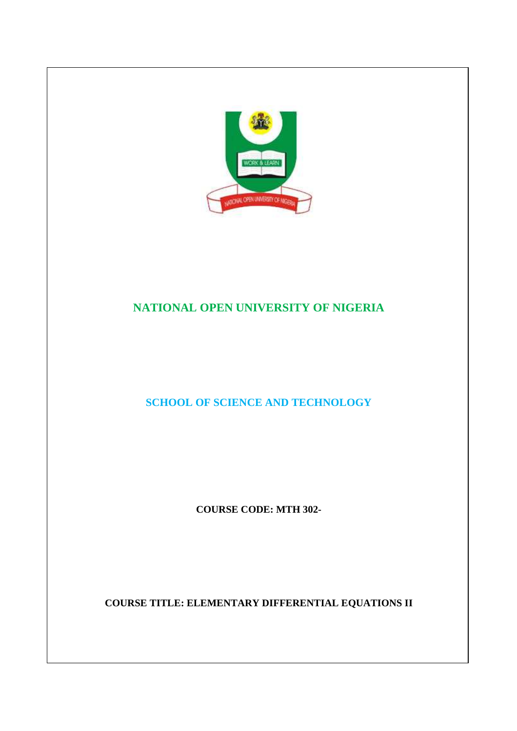

# **NATIONAL OPEN UNIVERSITY OF NIGERIA**

**SCHOOL OF SCIENCE AND TECHNOLOGY** 

**COURSE CODE: MTH 302-** 

**COURSE TITLE: ELEMENTARY DIFFERENTIAL EQUATIONS II**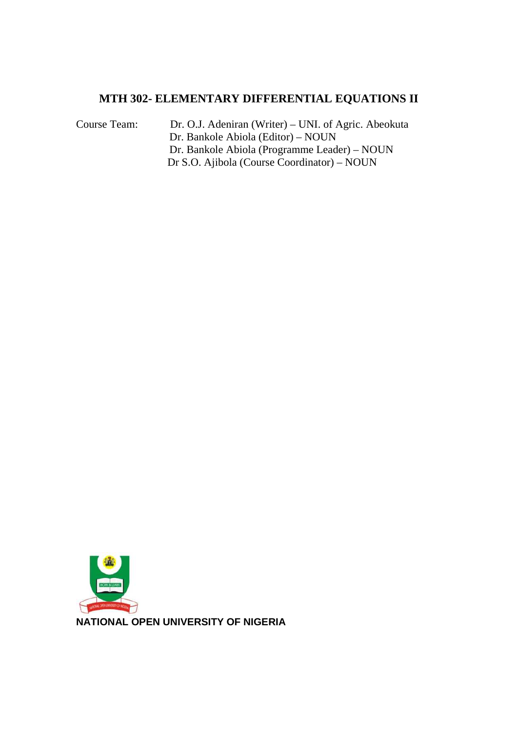# **MTH 302- ELEMENTARY DIFFERENTIAL EQUATIONS II**

Course Team: Dr. O.J. Adeniran (Writer) – UNI. of Agric. Abeokuta Dr. Bankole Abiola (Editor) – NOUN Dr. Bankole Abiola (Programme Leader) – NOUN Dr S.O. Ajibola (Course Coordinator) – NOUN

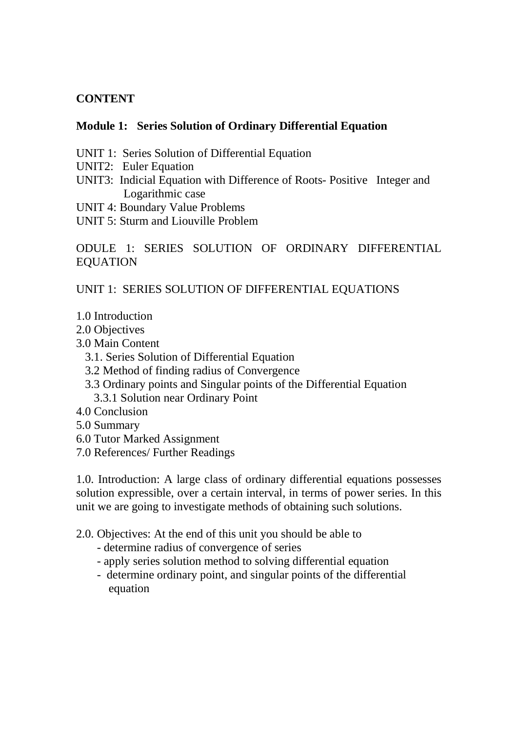# **CONTENT**

# **Module 1: Series Solution of Ordinary Differential Equation**

- UNIT 1: Series Solution of Differential Equation
- UNIT2: Euler Equation
- UNIT3: Indicial Equation with Difference of Roots- Positive Integer and Logarithmic case
- UNIT 4: Boundary Value Problems
- UNIT 5: Sturm and Liouville Problem

# ODULE 1: SERIES SOLUTION OF ORDINARY DIFFERENTIAL EQUATION

UNIT 1: SERIES SOLUTION OF DIFFERENTIAL EQUATIONS

- 1.0 Introduction
- 2.0 Objectives
- 3.0 Main Content
	- 3.1. Series Solution of Differential Equation
	- 3.2 Method of finding radius of Convergence
	- 3.3 Ordinary points and Singular points of the Differential Equation
		- 3.3.1 Solution near Ordinary Point
- 4.0 Conclusion
- 5.0 Summary
- 6.0 Tutor Marked Assignment
- 7.0 References/ Further Readings

1.0. Introduction: A large class of ordinary differential equations possesses solution expressible, over a certain interval, in terms of power series. In this unit we are going to investigate methods of obtaining such solutions.

- 2.0. Objectives: At the end of this unit you should be able to
	- determine radius of convergence of series
	- apply series solution method to solving differential equation
	- determine ordinary point, and singular points of the differential equation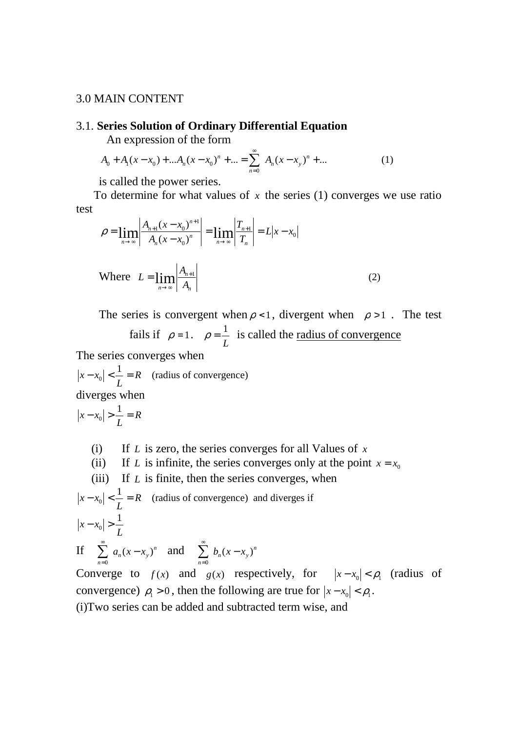#### 3.0 MAIN CONTENT

#### 3.1. **Series Solution of Ordinary Differential Equation**

An expression of the form

$$
A_0 + A_1(x - x_0) + \dots + A_n(x - x_0)^n + \dots = \sum_{n=0}^{\infty} A_n(x - x_0)^n + \dots
$$
 (1)

is called the power series.

To determine for what values of  $x$  the series (1) converges we use ratio test

$$
\rho = \lim_{n \to \infty} \left| \frac{A_{n+1} (x - x_0)^{n+1}}{A_n (x - x_0)^n} \right| = \lim_{n \to \infty} \left| \frac{T_{n+1}}{T_n} \right| = L |x - x_0|
$$
\nWhere

\n
$$
L = \lim_{n \to \infty} \left| \frac{A_{n+1}}{A_n} \right|
$$
\n(2)

The series is convergent when  $\rho < 1$ , divergent when  $\rho > 1$ . The test

fails if  $\rho = 1$ . *L*  $\rho = \frac{1}{r}$  is called the <u>radius of convergence</u>

The series converges when

*R L*  $|x - x_0| < \frac{1}{x}$  $\left| \cdot \right| < \frac{1}{I} = R$  (radius of convergence)

diverges when

$$
|x - x_0| > \frac{1}{L} = R
$$

(i) If *L* is zero, the series converges for all Values of *x*

(ii) If *L* is infinite, the series converges only at the point 
$$
x = x_0
$$

(iii) If *L* is finite, then the series converges, when

$$
|x - x_0| < \frac{1}{L} = R \quad \text{(radius of convergence)} \text{ and diverges if}
$$
\n
$$
|x - x_0| > \frac{1}{L}
$$
\nIf 
$$
\sum_{n=0}^{\infty} a_n (x - x_0)^n \quad \text{and} \quad \sum_{n=0}^{\infty} b_n (x - x_0)^n
$$

*n* 0 = *n* 0 = Converge to  $f(x)$  and  $g(x)$  respectively, for  $|x-x_0| < \rho_1$  (radius of convergence)  $\rho_1 > 0$ , then the following are true for  $|x - x_0| < \rho_1$ . (i)Two series can be added and subtracted term wise, and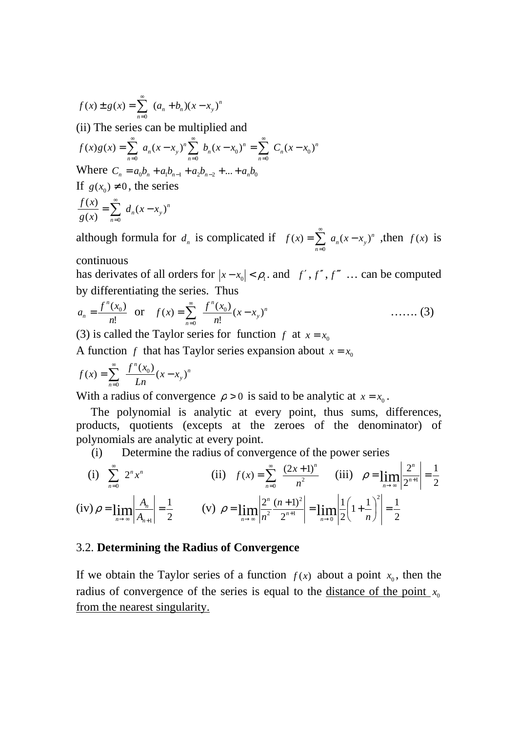$$
f(x) \pm g(x) = \sum_{n=0}^{\infty} (a_n + b_n)(x - x_y)^n
$$
  
(ii) The series can be multiplied and  

$$
f(x)g(x) = \sum_{n=0}^{\infty} a_n(x - x_y)^n \sum_{n=0}^{\infty} b_n(x - x_0)^n = \sum_{n=0}^{\infty} C_n(x - x_0)^n
$$
  
Where  $C_n = a_0b_n + a_1b_{n-1} + a_2b_{n-2} + ... + a_nb_0$   
If  $g(x_0) \neq 0$ , the series  

$$
\frac{f(x)}{g(x)} = \sum_{n=0}^{\infty} d_n(x - x_y)^n
$$

although formula for  $d_n$  is complicated if  $f(x) = \sum a_n(x - x_y)^n$ *n*  $f(x) = \sum a_n(x - x_v)$ 0  $=\sum a_n(x -$ = , then  $f(x)$  is

continuous

has derivates of all orders for  $|x-x_0| < \rho_1$ , and *f'*, *f''*, *f''* ... can be computed by differentiating the series. Thus

$$
a_n = \frac{f^n(x_0)}{n!} \text{ or } f(x) = \sum_{n=0}^{\infty} \frac{f^n(x_0)}{n!} (x - x_y)^n \qquad \qquad \dots \dots \tag{3}
$$

(3) is called the Taylor series for function *f* at  $x = x_0$ 

A function *f* that has Taylor series expansion about  $x = x_0$ 

$$
f(x) = \sum_{n=0}^{\infty} \frac{f^{n}(x_0)}{Ln} (x - x_{y})^{n}
$$

With a radius of convergence  $\rho > 0$  is said to be analytic at  $x = x_0$ .

 The polynomial is analytic at every point, thus sums, differences, products, quotients (excepts at the zeroes of the denominator) of polynomials are analytic at every point.

(i) Determine the radius of convergence of the power series

(i) 
$$
\sum_{n=0}^{\infty} 2^n x^n
$$
 (ii)  $f(x) = \sum_{n=0}^{\infty} \frac{(2x+1)^n}{n^2}$  (iii)  $\rho = \lim_{n \to \infty} \left| \frac{2^n}{2^{n+1}} \right| = \frac{1}{2}$   
(iv)  $\rho = \lim_{n \to \infty} \left| \frac{A_n}{A_{n+1}} \right| = \frac{1}{2}$  (v)  $\rho = \lim_{n \to \infty} \left| \frac{2^n}{n^2} \frac{(n+1)^2}{2^{n+1}} \right| = \lim_{n \to \infty} \left| \frac{1}{2} \left( 1 + \frac{1}{n} \right)^2 \right| = \frac{1}{2}$ 

#### 3.2. **Determining the Radius of Convergence**

If we obtain the Taylor series of a function  $f(x)$  about a point  $x_0$ , then the radius of convergence of the series is equal to the <u>distance of the point</u>  $x_0$ from the nearest singularity.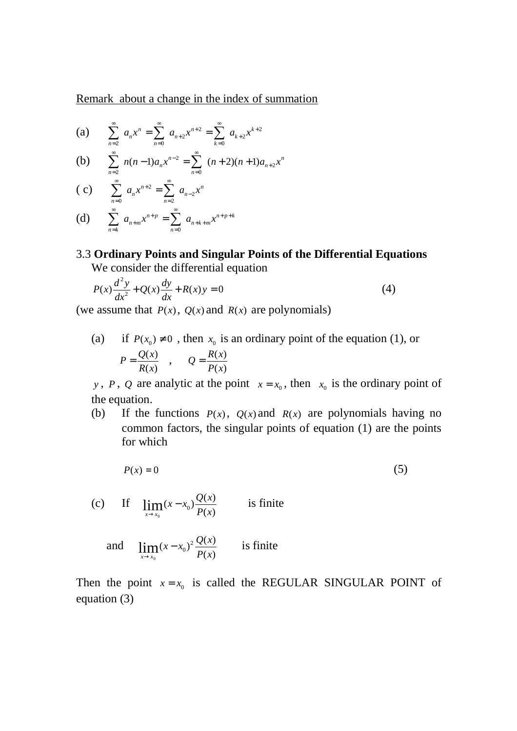Remark about a change in the index of summation

(a) 
$$
\sum_{n=2}^{\infty} a_n x^n = \sum_{n=0}^{\infty} a_{n+2} x^{n+2} = \sum_{k=0}^{\infty} a_{k+2} x^{k+2}
$$

(b) 
$$
\sum_{n=2}^{\infty} n(n-1)a_n x^{n-2} = \sum_{n=0}^{\infty} (n+2)(n+1)a_{n+2}x^n
$$

(c) 
$$
\sum_{n=0}^{\infty} a_n x^{n+2} = \sum_{n=2}^{\infty} a_{n-2} x^n
$$

(d) 
$$
\sum_{n=k}^{\infty} a_{n+m} x^{n+p} = \sum_{n=0}^{\infty} a_{n+k+m} x^{n+p+k}
$$

## 3.3 **Ordinary Points and Singular Points of the Differential Equations**  We consider the differential equation

$$
P(x)\frac{d^2y}{dx^2} + Q(x)\frac{dy}{dx} + R(x)y = 0
$$
\n(4)

(we assume that  $P(x)$ ,  $Q(x)$  and  $R(x)$  are polynomials)

(a) if  $P(x_0) \neq 0$ , then  $x_0$  is an ordinary point of the equation (1), or  $(x)$  $(x)$ *R x*  $P = \frac{Q(x)}{P(x)}$ ,  $(x)$  $(x)$ *P x*  $Q = \frac{R(x)}{R(x)}$ 

*y*, *P*, *Q* are analytic at the point  $x = x_0$ , then  $x_0$  is the ordinary point of the equation.

(b) If the functions  $P(x)$ ,  $Q(x)$  and  $R(x)$  are polynomials having no common factors, the singular points of equation (1) are the points for which

$$
P(x) = 0 \tag{5}
$$

(c) If  $(x)$  $\lim_{x \to x_0} (x - x_0) \frac{Q(x)}{P(x)}$  $(x-x_0)$  $\frac{Q(x)}{R}$  $x \rightarrow x$ −  $\rightarrow$ is finite

and 
$$
\lim_{x \to x_0} (x - x_0)^2 \frac{Q(x)}{P(x)}
$$
 is finite

Then the point  $x = x_0$  is called the REGULAR SINGULAR POINT of equation (3)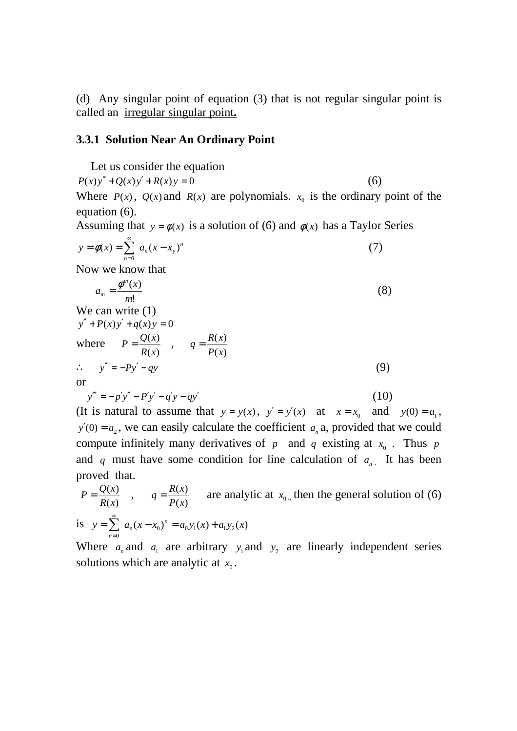(d) Any singular point of equation (3) that is not regular singular point is called an irregular singular point**.**

#### **3.3.1 Solution Near An Ordinary Point**

 Let us consider the equation  $P(x)y'' + Q(x)y' + R(x)y = 0$  (6) Where  $P(x)$ ,  $Q(x)$  and  $R(x)$  are polynomials.  $x_0$  is the ordinary point of the equation (6).

Assuming that  $y = \phi(x)$  is a solution of (6) and  $\phi(x)$  has a Taylor Series

$$
y = \phi(x) = \sum_{n=0}^{\infty} a_n (x - x_y)^n
$$
 (7)

Now we know that

$$
a_m = \frac{\phi^m(x)}{m!} \tag{8}
$$

We can write (1)  
\n
$$
y'' + P(x)y' + q(x)y = 0
$$
  
\nwhere  $P = \frac{Q(x)}{R(x)}$ ,  $q = \frac{R(x)}{P(x)}$   
\n $\therefore y'' = -Py' - qy$  (9)  
\nor  
\n $y''' = -p'y'' - P'y' - q'y - qy'$  (10)

(It is natural to assume that  $y = y(x)$ ,  $y' = y'(x)$  at  $x = x_0$  and  $y(0) = a_1$ ,  $y'(0) = a_2$ , we can easily calculate the coefficient  $a_n$  a, provided that we could compute infinitely many derivatives of  $p$  and  $q$  existing at  $x_0$ . Thus  $p$ and q must have some condition for line calculation of  $a_{n}$ . It has been proved that.

 $(x)$  $(x)$ *R x*  $P = \frac{Q(x)}{P(x)}$ ,  $(x)$  $(x)$ *P x*  $q = \frac{R(x)}{R(x)}$  are analytic at  $x_0$ , then the general solution of (6) is  $y = \sum a_n (x - x_0)^n = a_0 y_1(x) + a_1 y_2(x)$ 0  $y = \sum a_n (x - x_0)^n = a_0 y_1(x) + a_1 y_2(x)$ *n n*  $=\sum_{n=0}^{\infty} a_n (x - x_0)^n = a_0 y_1(x) +$ =

Where  $a_n$  and  $a_1$  are arbitrary  $y_1$  and  $y_2$  are linearly independent series solutions which are analytic at  $x_0$ .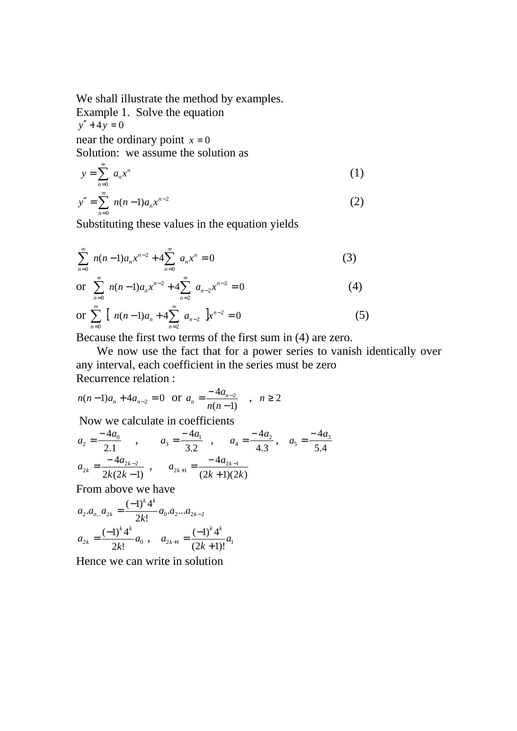We shall illustrate the method by examples. Example 1. Solve the equation  $y'' + 4y = 0$ near the ordinary point  $x = 0$ Solution: we assume the solution as

$$
y = \sum_{n=0}^{\infty} a_n x^n
$$
 (1)

$$
y'' = \sum_{n=0}^{\infty} n(n-1)a_n x^{n-2}
$$
 (2)

Substituting these values in the equation yields

$$
\sum_{n=0}^{\infty} n(n-1)a_n x^{n-2} + 4 \sum_{n=0}^{\infty} a_n x^n = 0
$$
 (3)

or 
$$
\sum_{n=0}^{\infty} n(n-1)a_n x^{n-2} + 4 \sum_{n=2}^{\infty} a_{n-2} x^{n-2} = 0
$$
 (4)

or 
$$
\sum_{n=0}^{\infty} \left[ n(n-1)a_n + 4 \sum_{n=2}^{\infty} a_{n-2} \right] x^{n-2} = 0
$$
 (5)

Because the first two terms of the first sum in (4) are zero.

 We now use the fact that for a power series to vanish identically over any interval, each coefficient in the series must be zero Recurrence relation :

$$
n(n-1)a_n + 4a_{n-2} = 0
$$
 or  $a_n = \frac{-4a_{n-2}}{n(n-1)}$ ,  $n \ge 2$ 

Now we calculate in coefficients

$$
a_2 = \frac{-4a_0}{2.1}, \qquad a_3 = \frac{-4a_1}{3.2}, \qquad a_4 = \frac{-4a_2}{4.3}, \qquad a_5 = \frac{-4a_3}{5.4}
$$
  

$$
a_{2k} = \frac{-4a_{2k-2}}{2k(2k-1)}, \qquad a_{2k+1} = \frac{-4a_{2k-1}}{(2k+1)(2k)}
$$

From above we have

$$
a_2.a_{n...}a_{2k} = \frac{(-1)^k 4^k}{2k!} a_0.a_2...a_{2k-2}
$$
  

$$
a_{2k} = \frac{(-1)^k 4^k}{2k!} a_0 , \quad a_{2k+1} = \frac{(-1)^k 4^k}{(2k+1)!} a_1
$$

Hence we can write in solution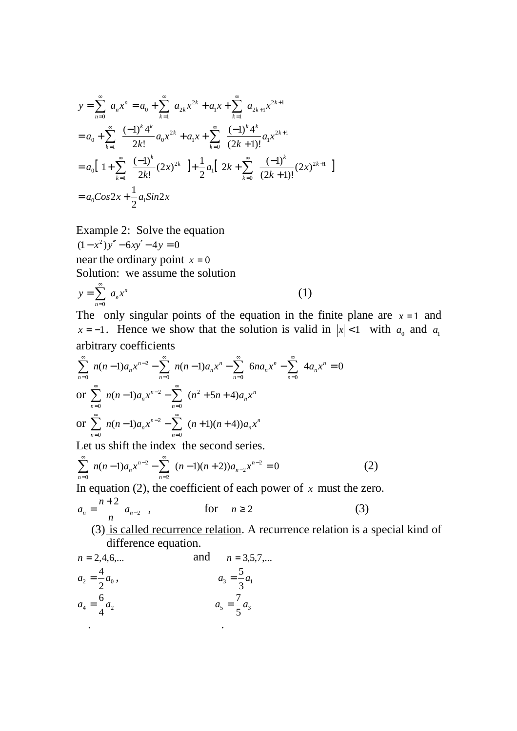$$
y = \sum_{n=0}^{\infty} a_n x^n = a_0 + \sum_{k=1}^{\infty} a_{2k} x^{2k} + a_1 x + \sum_{k=1}^{\infty} a_{2k+1} x^{2k+1}
$$
  
=  $a_0 + \sum_{k=1}^{\infty} \frac{(-1)^k 4^k}{2k!} a_0 x^{2k} + a_1 x + \sum_{k=0}^{\infty} \frac{(-1)^k 4^k}{(2k+1)!} a_1 x^{2k+1}$   
=  $a_0 \left[ 1 + \sum_{k=1}^{\infty} \frac{(-1)^k}{2k!} (2x)^{2k} \right] + \frac{1}{2} a_1 \left[ 2k + \sum_{k=0}^{\infty} \frac{(-1)^k}{(2k+1)!} (2x)^{2k+1} \right]$   
=  $a_0 \cos 2x + \frac{1}{2} a_1 \sin 2x$ 

Example 2: Solve the equation  $(1 - x^2)y'' - 6xy' - 4y = 0$ near the ordinary point  $x = 0$ Solution: we assume the solution

$$
y = \sum_{n=0}^{\infty} a_n x^n
$$
 (1)

The only singular points of the equation in the finite plane are  $x = 1$  and *x* = −1. Hence we show that the solution is valid in  $|x| < 1$  with  $a_0$  and  $a_1$ arbitrary coefficients

$$
\sum_{n=0}^{\infty} n(n-1)a_n x^{n-2} - \sum_{n=0}^{\infty} n(n-1)a_n x^n - \sum_{n=0}^{\infty} 6na_n x^n - \sum_{n=0}^{\infty} 4a_n x^n = 0
$$
  
or 
$$
\sum_{n=0}^{\infty} n(n-1)a_n x^{n-2} - \sum_{n=0}^{\infty} (n^2 + 5n + 4)a_n x^n
$$
  
or 
$$
\sum_{n=0}^{\infty} n(n-1)a_n x^{n-2} - \sum_{n=0}^{\infty} (n+1)(n+4)a_n x^n
$$

Let us shift the index the second series.

$$
\sum_{n=0}^{\infty} n(n-1)a_n x^{n-2} - \sum_{n=2}^{\infty} (n-1)(n+2)a_{n-2} x^{n-2} = 0
$$
 (2)

In equation (2), the coefficient of each power of  $x$  must the zero.

$$
a_n = \frac{n+2}{n} a_{n-2} \quad , \qquad \text{for} \quad n \ge 2 \tag{3}
$$

(3) is called recurrence relation. A recurrence relation is a special kind of difference equation.

$$
n = 2,4,6,...
$$
 and  $n = 3,5,7,...$   
\n $a_2 = \frac{4}{2}a_0,$   $a_3 = \frac{5}{3}a_1$   
\n $a_4 = \frac{6}{4}a_2$   $a_5 = \frac{7}{5}a_3$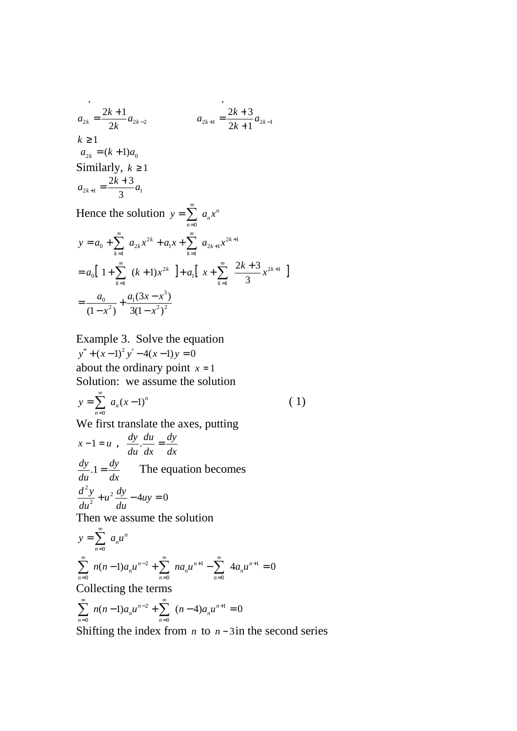$$
a_{2k} = \frac{2k+1}{2k} a_{2k-2}
$$
  
\n
$$
k \ge 1
$$
  
\n
$$
a_{2k} = (k+1)a_0
$$
  
\nSimilarly,  $k \ge 1$   
\n
$$
a_{2k+1} = \frac{2k+3}{3} a_1
$$

Hence the solution  $y = \sum a_n x^n$ *n*  $y = \sum_{n=1}^{\infty} a_n x$ = = 0

$$
y = a_0 + \sum_{k=1}^{\infty} a_{2k} x^{2k} + a_1 x + \sum_{k=1}^{\infty} a_{2k+1} x^{2k+1}
$$
  
=  $a_0 \left[ 1 + \sum_{k=1}^{\infty} (k+1) x^{2k} \right] + a_1 \left[ x + \sum_{k=1}^{\infty} \frac{2k+3}{3} x^{2k+1} \right]$   
=  $\frac{a_0}{(1-x^2)} + \frac{a_1 (3x - x^3)}{3(1-x^2)^2}$ 

Example 3. Solve the equation  $y'' + (x-1)^2 y' - 4(x-1)y = 0$ about the ordinary point  $x = 1$ Solution: we assume the solution

$$
y = \sum_{n=0}^{\infty} a_n (x-1)^n
$$
 (1)

We first translate the axes, putting

$$
x-1 = u , \frac{dy}{du} \cdot \frac{du}{dx} = \frac{dy}{dx}
$$
  

$$
\frac{dy}{du} \cdot 1 = \frac{dy}{dx}
$$
 The equation becomes  

$$
\frac{d^2y}{du^2} + u^2 \frac{dy}{du} - 4uy = 0
$$

Then we assume the solution

$$
y = \sum_{n=0}^{\infty} a_n u^n
$$
  

$$
\sum_{n=0}^{\infty} n(n-1)a_n u^{n-2} + \sum_{n=0}^{\infty} n a_n u^{n+1} - \sum_{n=0}^{\infty} 4a_n u^{n+1} = 0
$$
  
Collecting the terms  

$$
\sum_{n=0}^{\infty} n(n-1)a_n u^{n-2} + \sum_{n=0}^{\infty} (n-4)a_n u^{n+1} = 0
$$

$$
\sum_{n=0}^{\infty} n(n-1)a_n u^{n-2} + \sum_{n=0}^{\infty} (n-4)a_n u^{n+1} = 0
$$

Shifting the index from *n* to  $n-3$  in the second series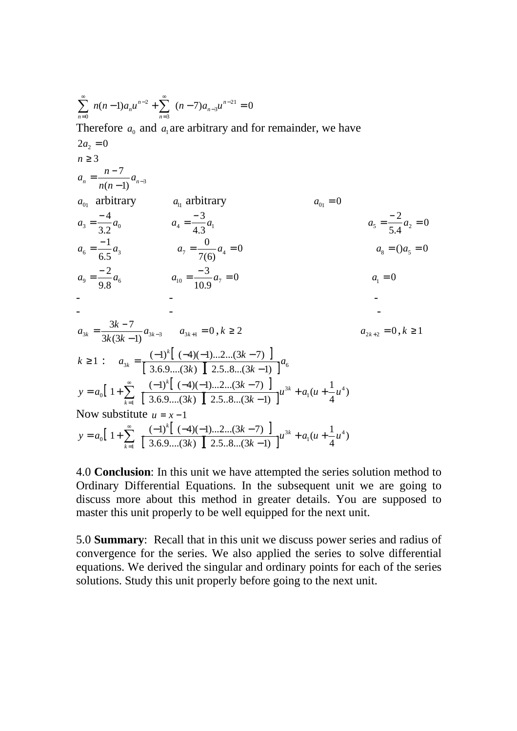$$
\sum_{n=0}^{\infty} n(n-1)a_n u^{n-2} + \sum_{n=3}^{\infty} (n-7)a_{n-3}u^{n-21} = 0
$$
  
\nTherefore  $a_0$  and  $a_1$  are arbitrary and for remainder, we have  
\n $2a_2 = 0$   
\n $n \ge 3$   
\n $a_n = \frac{n-7}{n(n-1)}a_{n-3}$   
\n $a_0$  arbitrary  $a_1$  arbitrary  $a_0$  at  $a_0$  = 0  
\n $a_3 = \frac{-4}{3.2}a_0$   $a_4 = \frac{-3}{4.3}a_1$   $a_5 = \frac{-2}{5.4}a_2 = 0$   
\n $a_6 = \frac{-1}{6.5}a_3$   $a_7 = \frac{0}{7(6)}a_4 = 0$   $a_8 = (a_5 = 0)$   
\n $a_9 = \frac{-2}{9.8}a_6$   $a_{10} = \frac{-3}{10.9}a_7 = 0$   $a_1 = 0$   
\n $a_{3k} = \frac{3k-7}{3k(3k-1)}a_{3k-3}$   $a_{3k+1} = 0, k \ge 2$   $a_{2k+2} = 0, k \ge 1$   
\n $k \ge 1$ :  $a_{3k} = \frac{(-1)^k [(-4)(-1)...2...(3k-7)]}{[3.6.9...(3k) [2.5.8...(3k-1)]}a_6$   
\n $y = a_0[1 + \sum_{k=1}^{\infty} \frac{(-1)^k [(-4)(-1)...2...(3k-7)]}{[3.6.9...(3k) [2.5.8...(3k-1)]}u^{3k} + a_1(u + \frac{1}{4}u^4)$   
\nNow substitute  $u = x - 1$   
\n $y = a_0[1 + \sum_{k=1}^{\infty} \frac{(-1)^k [(-4)(-1)...2...(3k-7)]}{[3.6.9...(3k) [2.5.8...(3k-1)]}u^{3k} + a_1(u + \frac{1}{4}u^4)$ 

4.0 **Conclusion**: In this unit we have attempted the series solution method to Ordinary Differential Equations. In the subsequent unit we are going to discuss more about this method in greater details. You are supposed to master this unit properly to be well equipped for the next unit.

5.0 **Summary**: Recall that in this unit we discuss power series and radius of convergence for the series. We also applied the series to solve differential equations. We derived the singular and ordinary points for each of the series solutions. Study this unit properly before going to the next unit.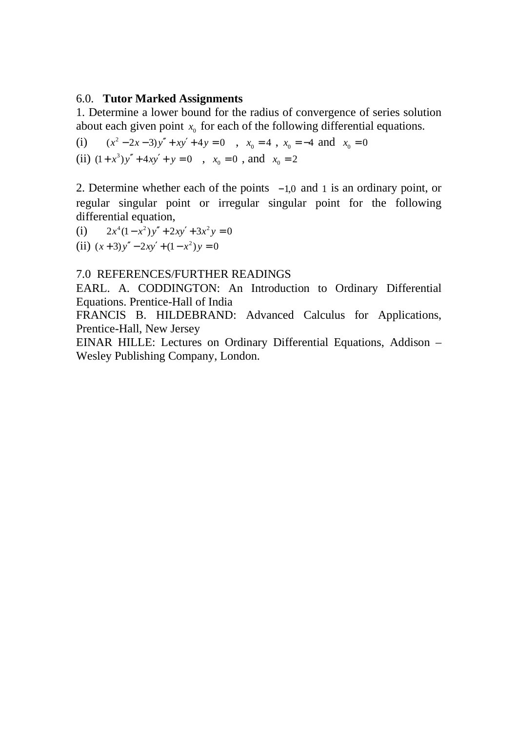## 6.0. **Tutor Marked Assignments**

1. Determine a lower bound for the radius of convergence of series solution about each given point  $x_0$  for each of the following differential equations.

(i)  $(x^2 - 2x - 3)y'' + xy' + 4y = 0$ ,  $x_0 = 4$ ,  $x_0 = -4$  and  $x_0 = 0$ (ii)  $(1+x^3)y'' + 4xy' + y = 0$ ,  $x_0 = 0$ , and  $x_0 = 2$ 

2. Determine whether each of the points  $-1,0$  and 1 is an ordinary point, or regular singular point or irregular singular point for the following differential equation,

(i)  $2x^4(1-x^2)y'' + 2xy' + 3x^2y = 0$ (ii)  $(x+3)y'' - 2xy' + (1-x^2)y = 0$ 

## 7.0 REFERENCES/FURTHER READINGS

EARL. A. CODDINGTON: An Introduction to Ordinary Differential Equations. Prentice-Hall of India

FRANCIS B. HILDEBRAND: Advanced Calculus for Applications, Prentice-Hall, New Jersey

EINAR HILLE: Lectures on Ordinary Differential Equations, Addison – Wesley Publishing Company, London.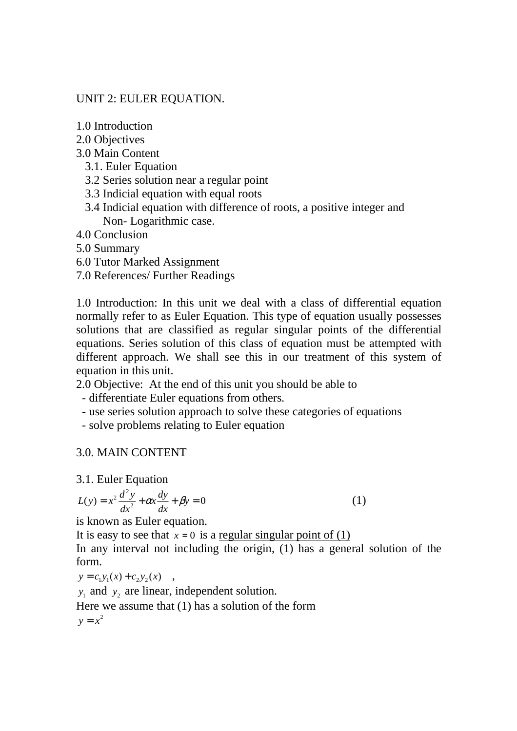## UNIT 2: EULER EQUATION.

- 1.0 Introduction
- 2.0 Objectives
- 3.0 Main Content
	- 3.1. Euler Equation
	- 3.2 Series solution near a regular point
	- 3.3 Indicial equation with equal roots
	- 3.4 Indicial equation with difference of roots, a positive integer and Non- Logarithmic case.
- 4.0 Conclusion
- 5.0 Summary
- 6.0 Tutor Marked Assignment
- 7.0 References/ Further Readings

1.0 Introduction: In this unit we deal with a class of differential equation normally refer to as Euler Equation. This type of equation usually possesses solutions that are classified as regular singular points of the differential equations. Series solution of this class of equation must be attempted with different approach. We shall see this in our treatment of this system of equation in this unit.

2.0 Objective: At the end of this unit you should be able to

- differentiate Euler equations from others.

- use series solution approach to solve these categories of equations
- solve problems relating to Euler equation

# 3.0. MAIN CONTENT

3.1. Euler Equation

$$
L(y) = x^2 \frac{d^2 y}{dx^2} + \alpha x \frac{dy}{dx} + \beta y = 0
$$
\n(1)

is known as Euler equation.

It is easy to see that  $x = 0$  is a regular singular point of (1)

In any interval not including the origin, (1) has a general solution of the form.

 $y = c_1 y_1(x) + c_2 y_2(x)$ ,

 $y_1$  and  $y_2$  are linear, independent solution.

Here we assume that (1) has a solution of the form

$$
y = x^2
$$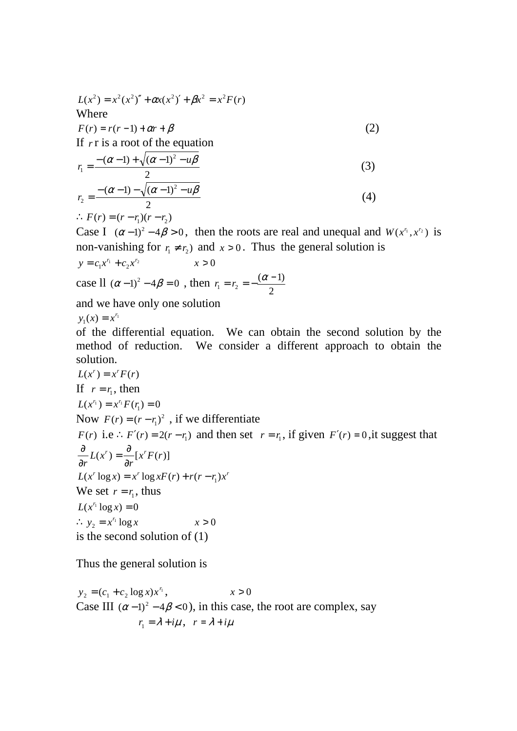$$
L(x2) = x2(x2)'' + \alpha x(x2)' + \beta x2 = x2F(r)
$$
  
Where  

$$
F(r) = r(r-1) + \alpha r + \beta
$$
 (2)

If *r* r is a root of the equation

$$
r_1 = \frac{- (\alpha - 1) + \sqrt{(\alpha - 1)^2 - u\beta}}{2}
$$
 (3)

$$
r_2 = \frac{-(\alpha - 1) - \sqrt{(\alpha - 1)^2 - u\beta}}{2}
$$
 (4)

$$
\therefore F(r) = (r - r_1)(r - r_2)
$$

Case I  $(\alpha - 1)^2 - 4\beta > 0$ , then the roots are real and unequal and  $W(x^n, x^{r_2})$  is non-vanishing for  $r_1 \neq r_2$ ) and  $x > 0$ . Thus the general solution is  $c_1 x'^1 + c_2 x'^2$  $y = c_1 x^{r_1} + c_2 x^{r_2}$   $x > 0$ case  $1 \left( \alpha - 1 \right)^2 - 4 \beta = 0$ , then 2  $(\alpha -1)$  $1 - r_2$  $r_1 = r_2 = -\frac{(\alpha - 1)}{2}$ 

and we have only one solution

 $y_1(x) = x^{r_1}$  $y_1(x) = x^r$ 

of the differential equation. We can obtain the second solution by the method of reduction. We consider a different approach to obtain the solution.

$$
L(x^{r}) = x^{r} F(r)
$$
  
If  $r = r_1$ , then  

$$
L(x^{r_1}) = x^{r_1} F(r_1) = 0
$$
  
Now  $F(r) = (r - r_1)^2$ , if we differentiate  
 $F(r)$  i.e.:  $F'(r) = 2(r - r_1)$  and then set  $r = r_1$ , if given  $F'(r) = 0$ , it suggests that  

$$
\frac{\partial}{\partial r} L(x^{r}) = \frac{\partial}{\partial r} [x^{r} F(r)]
$$
  

$$
L(x^{r} \log x) = x^{r} \log x F(r) + r(r - r_1) x^{r}
$$
  
We set  $r = r_1$ , thus  

$$
L(x^{r_1} \log x) = 0
$$
  
 $\therefore y_2 = x^{r_1} \log x$   $x > 0$   
is the second solution of (1)

Thus the general solution is

 $_2 = (c_1 + c_2 \log x) x^{r_1}$  $y_2 = (c_1 + c_2 \log x) x^{r_1},$   $x > 0$ Case III  $(\alpha - 1)^2 - 4\beta < 0$ , in this case, the root are complex, say  $r_1 = \lambda + i\mu$ ,  $r = \lambda + i\mu$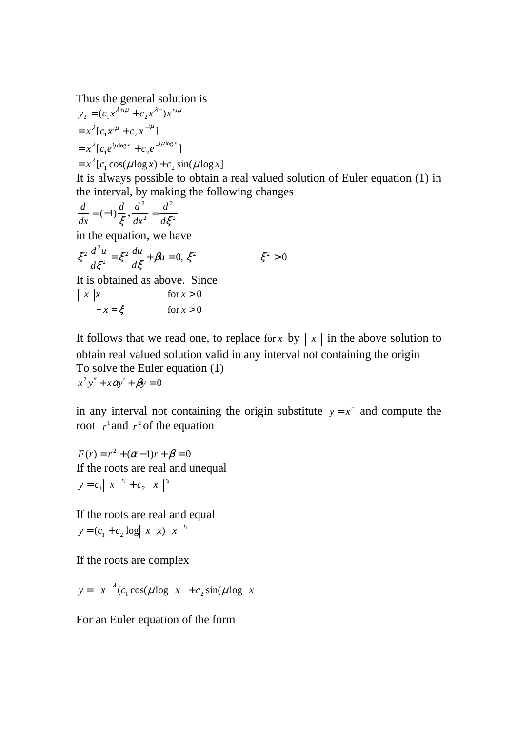Thus the general solution is

$$
y_2 = (c_1 x^{\lambda + i\mu} + c_2 x^{\lambda -}) x^{n i\mu}
$$
  
=  $x^{\lambda} [c_1 x^{i\mu} + c_2 x^{-i\mu}]$   
=  $x^{\lambda} [c_1 e^{i\mu \log x} + c_2 e^{-i\mu \log x}]$   
=  $x^{\lambda} [c_1 \cos(\mu \log x) + c_2 \sin(\mu \log x)]$ 

It is always possible to obtain a real valued solution of Euler equation (1) in the interval, by making the following changes

$$
\frac{d}{dx} = (-1)\frac{d}{\xi}, \frac{d^2}{dx^2} = \frac{d^2}{d\xi^2}
$$

in the equation, we have

$$
\xi^2 \frac{d^2 u}{d\xi^2} = \xi^2 \frac{du}{d\xi} + \beta u = 0, \xi^2 \qquad \xi^2 > 0
$$

It is obtained as above. Since

$$
\begin{array}{ccc} \n\mid x & x & \text{for } x > 0 \\ \n-x = \xi & \text{for } x > 0 \n\end{array}
$$

It follows that we read one, to replace for *x* by  $x \mid x$  in the above solution to obtain real valued solution valid in any interval not containing the origin To solve the Euler equation (1)  $x^2y'' + x\alpha y' + \beta y = 0$ 

in any interval not containing the origin substitute  $y = x^r$  and compute the root  $r^1$  and  $r^2$  of the equation

 $F(r) = r^2 + (\alpha - 1)r + \beta = 0$ If the roots are real and unequal  $\begin{vmatrix} 1 & x \end{vmatrix}$   $\begin{vmatrix} r_1 & r_2 \end{vmatrix}$   $\begin{vmatrix} x & r_1 \end{vmatrix}$  $y = c_1 | x |^{r_1} + c_2 | x |^{r_2}$ 

If the roots are real and equal  $(c_1 + c_2 \log |x| |x| |x|^{1}$  $y = (c_1 + c_2 \log |x| |x| |x|^{r}$ 

If the roots are complex

 $y = |x|^{2} (c_1 \cos(\mu \log |x| + c_2 \sin(\mu \log |x|)))$ 

For an Euler equation of the form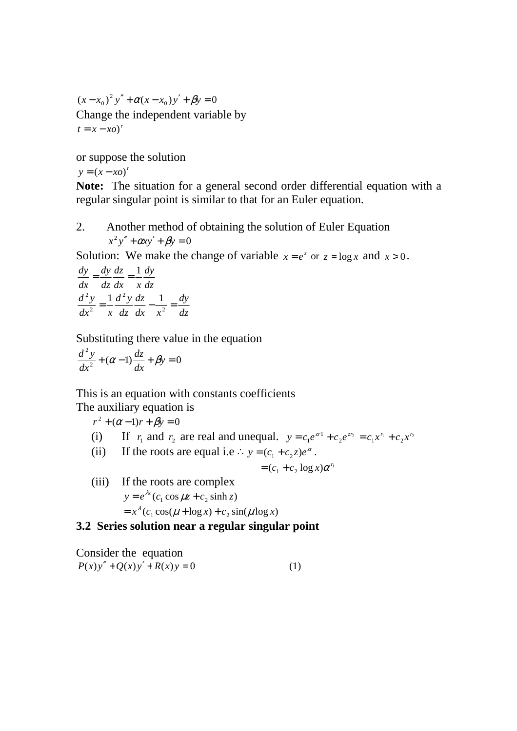$(x - x_0)^2 y'' + \alpha (x - x_0) y' + \beta y = 0$ Change the independent variable by  $t = x - xo)^r$ 

or suppose the solution

 $y = (x - xo)^r$ 

**Note:** The situation for a general second order differential equation with a regular singular point is similar to that for an Euler equation.

2. Another method of obtaining the solution of Euler Equation  $x^2 y'' + \alpha x y' + \beta y = 0$ 

Solution: We make the change of variable  $x = e^z$  or  $z = \log x$  and  $x > 0$ .

$$
\frac{dy}{dx} = \frac{dy}{dz}\frac{dz}{dx} = \frac{1}{x}\frac{dy}{dz}
$$

$$
\frac{d^2y}{dx^2} = \frac{1}{x}\frac{d^2y}{dz}\frac{dz}{dx} - \frac{1}{x^2} = \frac{dy}{dz}
$$

Substituting there value in the equation

$$
\frac{d^2y}{dx^2} + (\alpha - 1)\frac{dz}{dx} + \beta y = 0
$$

This is an equation with constants coefficients

The auxiliary equation is

 $r^2 + (\alpha - 1)r + \beta y = 0$ 

- (i) If  $r_1$  and  $r_2$  are real and unequal.  $y = c_1 e^{xt} + c_2 e^{tx_2} = c_1 x^{r_1} + c_2 x^{r_2}$ 1 1  $y = c_1 e^{zr_1} + c_2 e^{zr_2} = c_1 x^{r_1} + c_2 x^{r_2}$
- (ii) If the roots are equal i.e  $\therefore$   $y = (c_1 + c_2 z)e^{zt}$ .

$$
= (c_1 + c_2 \log x) \alpha^{r_1}
$$

(iii) If the roots are complex  $y = e^{\lambda z} (c_1 \cos \mu z + c_2 \sinh z)$  $= x^{\lambda} (c_1 \cos(\mu + \log x) + c_2 \sin(\mu \log x))$ 

## **3.2 Series solution near a regular singular point**

Consider the equation  $P(x)y'' + Q(x)y' + R(x)y = 0$  (1)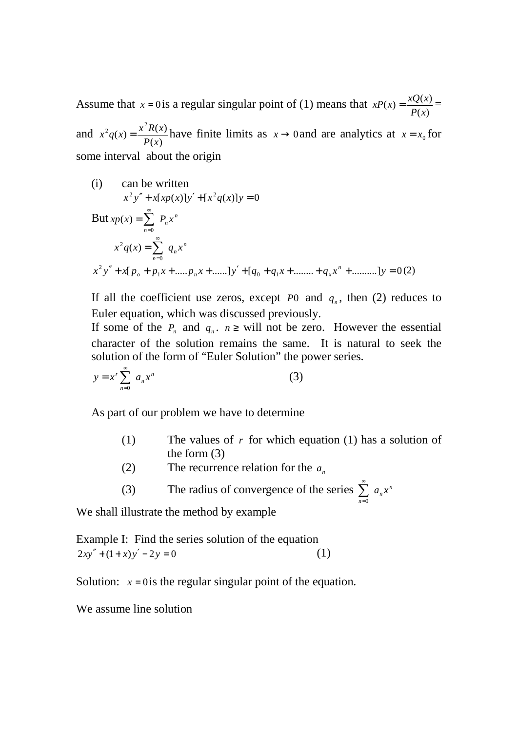Assume that  $x = 0$  is a regular singular point of (1) means that  $(x)$  $f(x) = \frac{xQ(x)}{R}$ *P x*  $xP(x) = \frac{xQ(x)}{P(x)} =$ and  $(x)$  $f(x) = \frac{x^2 R(x)}{R(x)}$  $\frac{2}{x}$ *P x*  $x^2 q(x) = \frac{x^2 R(x)}{R(x)}$  have finite limits as  $x \to 0$  and are analytics at  $x = x_0$  for some interval about the origin

(i) can be written  $[x^2 y'' + x [xp(x)]y' + [x^2 q(x)]y = 0$ But  $xp(x) = \sum P_n x^n$ *n*  $xp(x) = \sum_{n=0}^{\infty} P_n x$ = =  $\mathbf{0}$  $(x)$ *n*  $x^2q(x) = \sum_{n=0}^{\infty} q_n x$  $n=0$  $2q(x) =$  $x^2 y'' + x[p_o + p_1 x + \dots + p_n x + \dots ]y' + [q_o + q_1 x + \dots + q_x x^n + \dots ]y = 0$  $p_p + p_1 x + \dots + p_n x + \dots$   $y' + [q_0 + q_1 x + \dots + q_x x^n + \dots] y = 0$  (2)

If all the coefficient use zeros, except  $P_0$  and  $q_n$ , then (2) reduces to Euler equation, which was discussed previously.

If some of the  $P_n$  and  $q_n$ .  $n \geq$  will not be zero. However the essential character of the solution remains the same. It is natural to seek the solution of the form of "Euler Solution" the power series.

$$
y = x^r \sum_{n=0}^{\infty} a_n x^n
$$
 (3)

As part of our problem we have to determine

- (1) The values of *r* for which equation (1) has a solution of the form (3)
- (2) The recurrence relation for the  $a_n$
- (3) The radius of convergence of the series  $\sum_{n=1}^{\infty} a_n x^n$ *n*  $=0$

We shall illustrate the method by example

Example I: Find the series solution of the equation  $2xy'' + (1+x)y' - 2y = 0$  (1)

Solution:  $x = 0$  is the regular singular point of the equation.

We assume line solution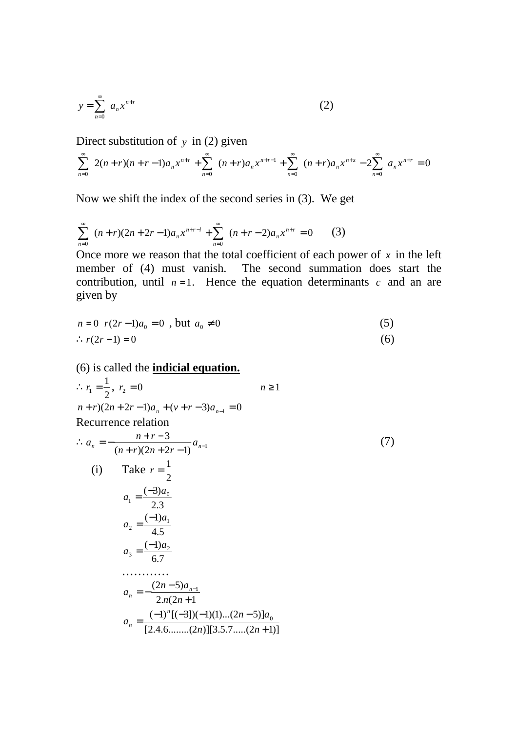$$
y = \sum_{n=0}^{\infty} a_n x^{n+r}
$$
 (2)

Direct substitution of *y* in (2) given

$$
\sum_{n=0}^{\infty} 2(n+r)(n+r-1)a_n x^{n+r} + \sum_{n=0}^{\infty} (n+r)a_n x^{n+r-1} + \sum_{n=0}^{\infty} (n+r)a_n x^{n+r} - 2\sum_{n=0}^{\infty} a_n x^{n+r} = 0
$$

Now we shift the index of the second series in (3). We get

$$
\sum_{n=0}^{\infty} (n+r)(2n+2r-1)a_n x^{n+r-1} + \sum_{n=0}^{\infty} (n+r-2)a_n x^{n+r} = 0
$$
 (3)

Once more we reason that the total coefficient of each power of  $x$  in the left member of (4) must vanish. The second summation does start the contribution, until  $n = 1$ . Hence the equation determinants *c* and an are given by

$$
n = 0 \t r(2r - 1)a_0 = 0, \text{ but } a_0 \neq 0
$$
\n
$$
\therefore r(2r - 1) = 0
$$
\n(6)

(6) is called the **indicial equation.**

$$
\therefore r_1 = \frac{1}{2}, r_2 = 0 \qquad n \ge 1
$$
  
\n
$$
n + r)(2n + 2r - 1)a_n + (v + r - 3)a_{n-1} = 0
$$
  
\nRecurrence relation  
\n
$$
\therefore a_n = -\frac{n + r - 3}{(n + r)(2n + 2r - 1)} a_{n-1}
$$
\n(i) Take  $r = \frac{1}{2}$   
\n
$$
a_1 = \frac{(-3)a_0}{2 \cdot 3}
$$
  
\n
$$
a_2 = \frac{(-1)a_1}{4 \cdot 5}
$$
  
\n
$$
a_3 = \frac{(-1)a_2}{6 \cdot 7}
$$
  
\n........  
\n
$$
a_n = -\frac{(2n - 5)a_{n-1}}{2 \cdot n(2n + 1)}
$$
  
\n
$$
a_n = \frac{(-1)^n [(-3)](-1)(1)...(2n - 5)]a_0}{[2 \cdot 4 \cdot 6 \cdot ....(2n)][3 \cdot 5 \cdot 7 \cdot ....(2n + 1)]}
$$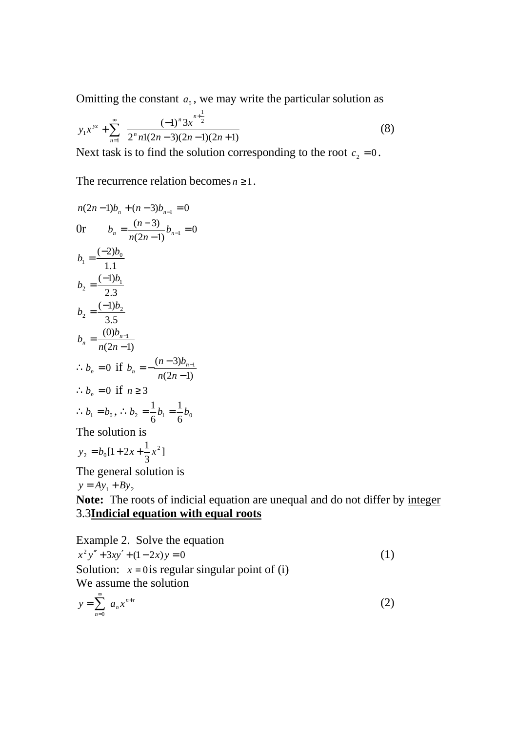Omitting the constant  $a_0$ , we may write the particular solution as

$$
y_1 x^{yz} + \sum_{n=1}^{\infty} \frac{(-1)^n 3x^{n+\frac{1}{2}}}{2^n n!(2n-3)(2n-1)(2n+1)}
$$
(8)

Next task is to find the solution corresponding to the root  $c_2 = 0$ .

The recurrence relation becomes  $n \geq 1$ .

$$
n(2n-1)b_n + (n-3)b_{n-1} = 0
$$
  
\nOr 
$$
b_n = \frac{(n-3)}{n(2n-1)}b_{n-1} = 0
$$
  
\n
$$
b_1 = \frac{(-2)b_0}{1.1}
$$
  
\n
$$
b_2 = \frac{(-1)b_1}{2.3}
$$
  
\n
$$
b_2 = \frac{(-1)b_2}{3.5}
$$
  
\n
$$
b_n = \frac{(0)b_{n-1}}{n(2n-1)}
$$
  
\n
$$
\therefore b_n = 0 \text{ if } b_n = -\frac{(n-3)b_{n-1}}{n(2n-1)}
$$
  
\n
$$
\therefore b_n = 0 \text{ if } n \ge 3
$$
  
\n
$$
\therefore b_1 = b_0, \therefore b_2 = \frac{1}{6}b_1 = \frac{1}{6}b_0
$$
  
\nThe solution is  
\n
$$
y_2 = b_0[1 + 2x + \frac{1}{3}x^2]
$$
  
\nThe general solution is  
\n
$$
y = Ay_1 + By_2
$$
  
\nNote: The roots of indicial eq

**Note:** The roots of indicial equation are unequal and do not differ by integer 3.3**Indicial equation with equal roots**

Example 2. Solve the equation  
\n
$$
x^2y'' + 3xy' + (1-2x)y = 0
$$
 (1)  
\nSolution:  $x = 0$  is regular singular point of (i)  
\nWe assume the solution

$$
y = \sum_{n=0}^{\infty} a_n x^{n+r}
$$
 (2)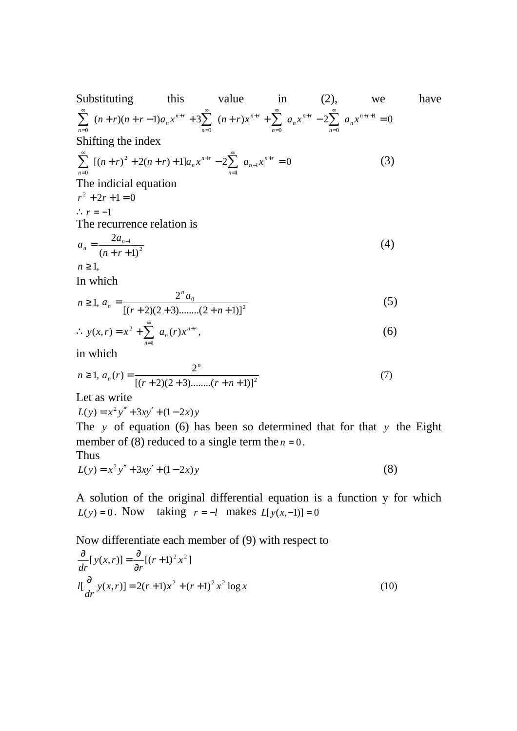Substituting this value in (2), we have  
\n
$$
\sum_{n=0}^{\infty} (n+r)(n+r-1)a_n x^{n+r} + 3\sum_{n=0}^{\infty} (n+r)x^{n+r} + \sum_{n=0}^{\infty} a_n x^{n+r} - 2\sum_{n=0}^{\infty} a_n x^{n+r+1} = 0
$$
\nShifting the index  
\n
$$
\sum_{n=0}^{\infty} [(n+r)^2 + 2(n+r) + 1]a_n x^{n+r} - 2\sum_{n=1}^{\infty} a_{n-1} x^{n+r} = 0
$$
\nThe indicial equation  
\n
$$
r^2 + 2r + 1 = 0
$$
\n
$$
\therefore r = -1
$$
\nThe recurrence relation is  
\n
$$
a_n = \frac{2a_{n-1}}{(n+r+1)^2}
$$
\n
$$
n \ge 1,
$$
\nIn which

$$
n \ge 1, a_n = \frac{2^n a_0}{[(r+2)(2+3) \dots (2+n+1)]^2}
$$
 (5)

$$
\therefore y(x,r) = x^2 + \sum_{n=1}^{\infty} a_n(r)x^{n+r},
$$
\n(6)

in which

$$
n \ge 1, a_n(r) = \frac{2^n}{[(r+2)(2+3) \dots (r+n+1)]^2}
$$
 (7)

Let as write

$$
L(y) = x^2 y'' + 3xy' + (1 - 2x)y
$$

The *y* of equation (6) has been so determined that for that *y* the Eight member of (8) reduced to a single term the  $n = 0$ .

Thus

$$
L(y) = x^2 y'' + 3xy' + (1 - 2x)y
$$
 (8)

A solution of the original differential equation is a function y for which *L*(*y*) = 0. Now taking *r* = −*l* makes *L*[*y*(*x*,-1)] = 0

Now differentiate each member of (9) with respect to  
\n
$$
\frac{\partial}{\partial r}[y(x,r)] = \frac{\partial}{\partial r}[(r+1)^2 x^2]
$$
\n
$$
l[\frac{\partial}{\partial r}y(x,r)] = 2(r+1)x^2 + (r+1)^2 x^2 \log x
$$
\n(10)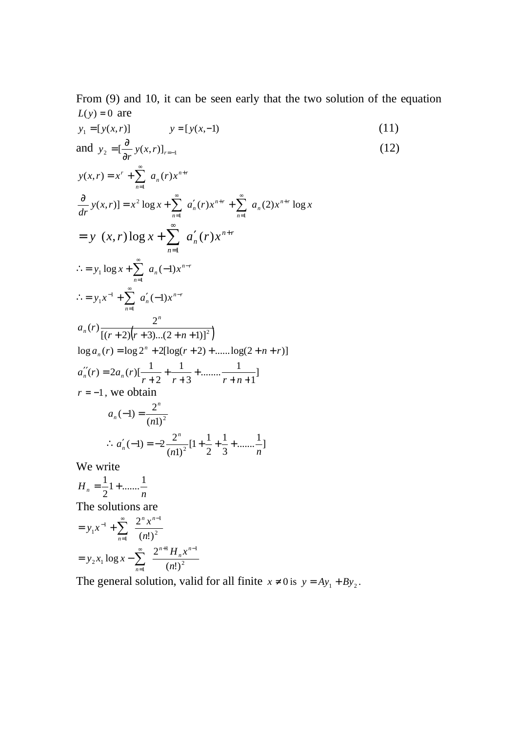From (9) and 10, it can be seen early that the two solution of the equation  $L(y) = 0$  are

$$
y_{1} = [y(x,r)] \t y = [y(x,-1)
$$
\nand  $y_{2} = [\frac{\partial}{\partial r} y(x,r)]_{r=1}$ \n(11)\nand  $y_{2} = [\frac{\partial}{\partial r} y(x,r)] = x^{n-r}$ \n(12)\n
$$
y(x,r) = x^{r} + \sum_{n=1}^{\infty} a_{n}(r)x^{n+r}
$$
\n
$$
\frac{\partial}{\partial r} y(x,r)] = x^{2} \log x + \sum_{n=1}^{\infty} a'_{n}(r)x^{n+r} + \sum_{n=1}^{\infty} a_{n}(2)x^{n+r} \log x
$$
\n
$$
= y(x,r) \log x + \sum_{n=1}^{\infty} a'_{n}(r)x^{n+r}
$$
\n
$$
\therefore = y_{1}x^{1} + \sum_{n=1}^{\infty} a'_{n}(-1)x^{n-r}
$$
\n
$$
a_{n}(r) \frac{2^{n}}{[(r+2)(r+3)...(2+n+1)]^{2}]}
$$
\n
$$
\log a_{n}(r) = \log 2^{n} + 2[\log(r+2) + \dots + \log(2+n+r)]
$$
\n
$$
a''_{n}(r) = 2a_{n}(r)[\frac{1}{r+2} + \frac{1}{r+3} + \dots + \frac{1}{r+n+1}]
$$
\n
$$
r = -1, \text{ we obtain}
$$
\n
$$
a_{n}(-1) = \frac{2^{n}}{(n!)^{2}}
$$
\n
$$
\therefore a'_{n}(-1) = -2\frac{2^{n}}{(n!)^{2}}[1 + \frac{1}{2} + \frac{1}{3} + \dots + \frac{1}{n}]
$$
\nWe write

$$
H_n = \frac{1}{2}1 + \dots + \frac{1}{n}
$$

The solutions are

$$
= y_1 x^{-1} + \sum_{n=1}^{\infty} \frac{2^n x^{n-1}}{(n!)^2}
$$
  
=  $y_2 x_1 \log x - \sum_{n=1}^{\infty} \frac{2^{n+1} H_n x^{n-1}}{(n!)^2}$ 

The general solution, valid for all finite  $x \neq 0$  is  $y = Ay_1 + By_2$ .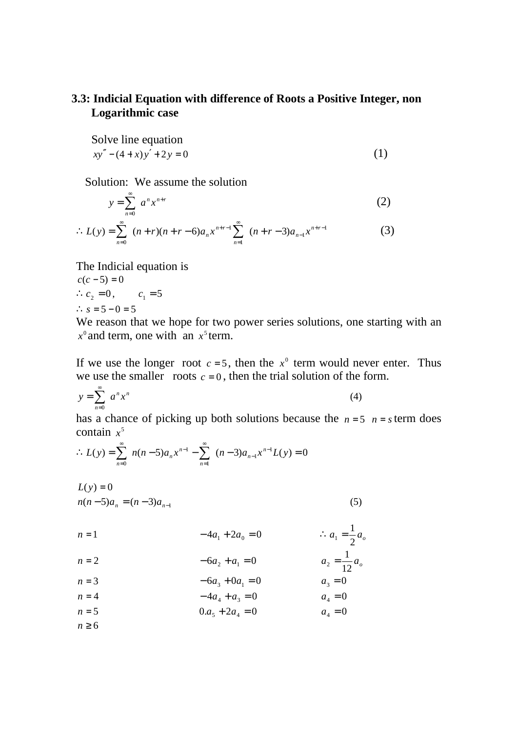## **3.3: Indicial Equation with difference of Roots a Positive Integer, non Logarithmic case**

Solve line equation  

$$
xy'' - (4+x)y' + 2y = 0
$$
 (1)

Solution: We assume the solution

$$
y = \sum_{n=0}^{\infty} a^n x^{n+r}
$$
 (2)

$$
\therefore L(y) = \sum_{n=0}^{\infty} (n+r)(n+r-6)a_n x^{n+r-1} \sum_{n=1}^{\infty} (n+r-3)a_{n-1} x^{n+r-1}
$$
 (3)

The Indicial equation is  $c(c - 5) = 0$ 

$$
\therefore c_2 = 0, \qquad c_1 = 5
$$
  

$$
\therefore s = 5 - 0 = 5
$$

We reason that we hope for two power series solutions, one starting with an  $x^0$  and term, one with an  $x^5$  term.

If we use the longer root  $c = 5$ , then the  $x^0$  term would never enter. Thus we use the smaller roots  $c = 0$ , then the trial solution of the form.

$$
y = \sum_{n=0}^{\infty} a^n x^n
$$
 (4)

has a chance of picking up both solutions because the  $n = 5$   $n = s$  term does contain  $x^5$ 

$$
\therefore L(y) = \sum_{n=0}^{\infty} n(n-5)a_n x^{n-1} - \sum_{n=1}^{\infty} (n-3)a_{n-1} x^{n-1} L(y) = 0
$$

$$
L(y) = 0
$$
  
n(n-5)a<sub>n</sub> = (n-3)a<sub>n-1</sub> (5)

| $n = 1$ | $-4a_1 + 2a_0 = 0$ | $\therefore a_1 = \frac{1}{2}a_o$ |
|---------|--------------------|-----------------------------------|
| $n = 2$ | $-6a_2 + a_1 = 0$  | $a_2 = \frac{1}{12}a_o$           |
| $n = 3$ | $-6a_3 + 0a_1 = 0$ | $a_3 = 0$                         |
| $n = 4$ | $-4a_4 + a_3 = 0$  | $a_4 = 0$                         |
| $n = 5$ | $0.a_5 + 2a_4 = 0$ | $a_4 = 0$                         |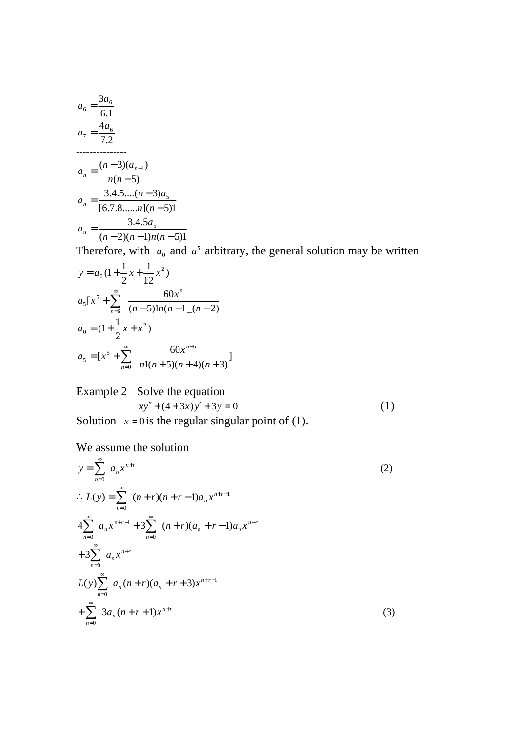$$
a_6 = \frac{3a_6}{6.1}
$$
  
\n
$$
a_7 = \frac{4a_6}{7.2}
$$
  
\n
$$
a_n = \frac{(n-3)(a_{n-1})}{n(n-5)}
$$
  
\n
$$
a_n = \frac{3.4.5...(n-3)a_5}{[6.7.8...(n-1)(n-5)]}
$$
  
\n
$$
a_n = \frac{3.4.5a_5}{(n-2)(n-1)n(n-5)}
$$

Therefore, with  $a_0$  and  $a^5$  arbitrary, the general solution may be written

$$
y = a_0 \left(1 + \frac{1}{2}x + \frac{1}{12}x^2\right)
$$
  
\n
$$
a_5\left[x^5 + \sum_{n=6}^{\infty} \frac{60x^n}{(n-5)\ln(n-1)(n-2)}\right]
$$
  
\n
$$
a_0 = \left(1 + \frac{1}{2}x + x^2\right)
$$
  
\n
$$
a_5 = \left[x^5 + \sum_{n=0}^{\infty} \frac{60x^{n+5}}{n!(n+5)(n+4)(n+3)}\right]
$$

Example 2 Solve the equation  
\n
$$
xy'' + (4+3x)y' + 3y = 0
$$
\n(1)

Solution  $x = 0$  is the regular singular point of (1).

We assume the solution

$$
y = \sum_{n=0}^{\infty} a_n x^{n+r}
$$
  
\n
$$
\therefore L(y) = \sum_{n=0}^{\infty} (n+r)(n+r-1)a_n x^{n+r-1}
$$
  
\n
$$
4 \sum_{n=0}^{\infty} a_n x^{n+r-1} + 3 \sum_{n=0}^{\infty} (n+r)(a_n + r-1)a_n x^{n+r}
$$
  
\n
$$
+ 3 \sum_{n=0}^{\infty} a_n x^{n+r}
$$
  
\n
$$
L(y) \sum_{n=0}^{\infty} a_n (n+r)(a_n + r+3) x^{n+r-1}
$$
  
\n
$$
+ \sum_{n=0}^{\infty} 3a_n (n+r+1) x^{n+r}
$$
\n(3)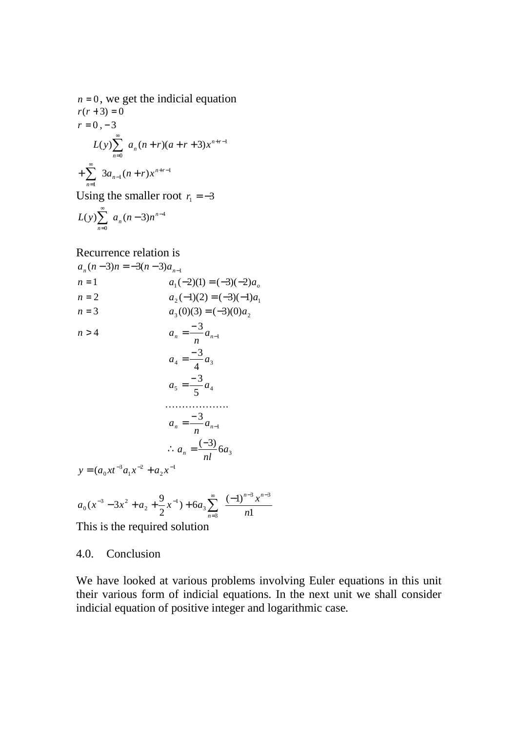$$
n = 0, \text{ we get the indicial equation}
$$
  
\n
$$
r(r+3) = 0
$$
  
\n
$$
r = 0, -3
$$
  
\n
$$
L(y) \sum_{n=0}^{\infty} a_n (n+r)(a+r+3) x^{n+r-1}
$$
  
\n
$$
+ \sum_{n=1}^{\infty} 3a_{n-1} (n+r) x^{n+r-1}
$$
  
\nUsing the smaller root  $r = -3$ 

Using the smaller root  $r_1 = -3$ 

$$
L(y)\sum_{n=0}^{\infty} a_n(n-3)n^{n-4}
$$

Recurrence relation is

$$
a_n(n-3)n = -3(n-3)a_{n-1}
$$
  
\n
$$
n = 1
$$
  
\n
$$
a_1(-2)(1) = (-3)(-2)a_o
$$
  
\n
$$
n = 2
$$
  
\n
$$
a_2(-1)(2) = (-3)(-1)a_1
$$
  
\n
$$
a_3(0)(3) = (-3)(0)a_2
$$
  
\n
$$
n > 4
$$
  
\n
$$
a_n = \frac{-3}{n}a_{n-1}
$$
  
\n
$$
a_4 = \frac{-3}{4}a_3
$$
  
\n
$$
a_5 = \frac{-3}{5}a_4
$$
  
\n........  
\n
$$
a_n = \frac{-3}{n}a_{n-1}
$$
  
\n...  
\n
$$
a_n = \frac{-3}{n}a_{n-1}
$$
  
\n...  
\n
$$
a_n = \frac{(-3)}{n}6a_3
$$
  
\n
$$
y = (a_0xt^{-3}a_1x^{-2} + a_2x^{-1})
$$
  
\n
$$
y = \frac{9}{1}a_1x^{-2} + a_2x^{-1}
$$
  
\n
$$
y = \frac{9}{1}a_1x^{-2} + a_2x^{-1}
$$

$$
a_0(x^{-3} - 3x^2 + a_2 + \frac{9}{2}x^{-1}) + 6a_3 \sum_{n=3}^{\infty} \frac{(-1)^{n-3} x^{n-3}}{n!}
$$

This is the required solution

#### 4.0. Conclusion

We have looked at various problems involving Euler equations in this unit their various form of indicial equations. In the next unit we shall consider indicial equation of positive integer and logarithmic case.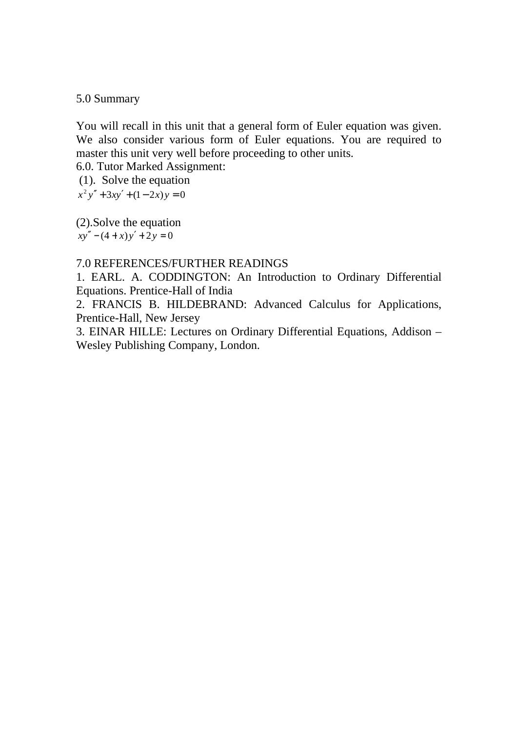#### 5.0 Summary

You will recall in this unit that a general form of Euler equation was given. We also consider various form of Euler equations. You are required to master this unit very well before proceeding to other units.

6.0. Tutor Marked Assignment:

(1). Solve the equation

 $x^2 y'' + 3xy' + (1 - 2x)y = 0$ 

(2).Solve the equation  $xy'' - (4 + x)y' + 2y = 0$ 

#### 7.0 REFERENCES/FURTHER READINGS

1. EARL. A. CODDINGTON: An Introduction to Ordinary Differential Equations. Prentice-Hall of India

2. FRANCIS B. HILDEBRAND: Advanced Calculus for Applications, Prentice-Hall, New Jersey

3. EINAR HILLE: Lectures on Ordinary Differential Equations, Addison – Wesley Publishing Company, London.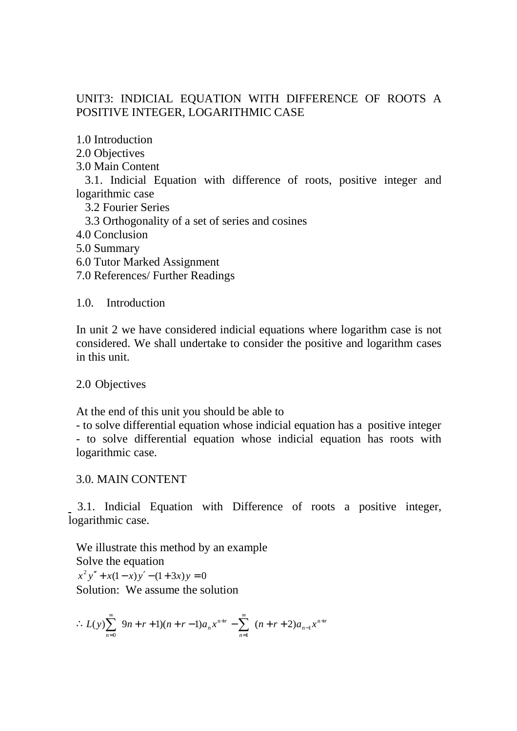# UNIT3: INDICIAL EQUATION WITH DIFFERENCE OF ROOTS A POSITIVE INTEGER, LOGARITHMIC CASE

1.0 Introduction

2.0 Objectives

3.0 Main Content

 3.1. Indicial Equation with difference of roots, positive integer and logarithmic case

3.2 Fourier Series

3.3 Orthogonality of a set of series and cosines

4.0 Conclusion

- 5.0 Summary
- 6.0 Tutor Marked Assignment

7.0 References/ Further Readings

1.0. Introduction

In unit 2 we have considered indicial equations where logarithm case is not considered. We shall undertake to consider the positive and logarithm cases in this unit.

2.0 Objectives

At the end of this unit you should be able to

- to solve differential equation whose indicial equation has a positive integer - to solve differential equation whose indicial equation has roots with logarithmic case.

## 3.0. MAIN CONTENT

 3.1. Indicial Equation with Difference of roots a positive integer, logarithmic case.

We illustrate this method by an example Solve the equation  $x^2 y'' + x(1-x) y' - (1+3x) y = 0$ Solution: We assume the solution

$$
\therefore L(y) \sum_{n=0}^{\infty} 9n+r+1)(n+r-1)a_n x^{n+r} - \sum_{n=1}^{\infty} (n+r+2)a_{n-1} x^{n+r}
$$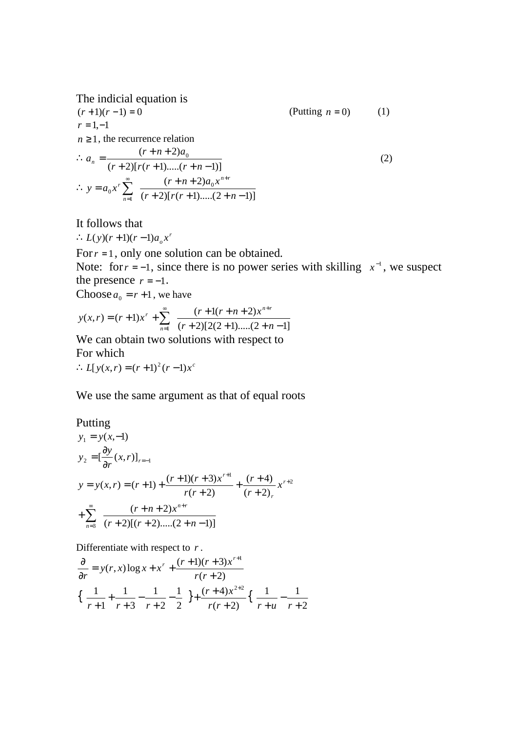The indicial equation is  
\n
$$
(r+1)(r-1) = 0
$$
 (Putting  $n = 0$ ) (1)  
\n $r = 1, -1$   
\n $n \ge 1$ , the recurrence relation  
\n $\therefore a_n = \frac{(r+n+2)a_0}{(r+2)[r(r+1)...(r+n-1)]}$   
\n $\therefore y = a_0 x^r \sum_{n=1}^{\infty} \frac{(r+n+2)a_0 x^{n+r}}{(r+2)[r(r+1)...(2+n-1)]}$ 

It follows that

 $\therefore L(y)(r+1)(r-1)a_{o}x^{r}$ 

For  $r = 1$ , only one solution can be obtained.

Note: for  $r = -1$ , since there is no power series with skilling  $x^{-1}$ , we suspect the presence  $r = -1$ .

Choose  $a_0 = r + 1$ , we have

$$
y(x,r) = (r+1)x^{r} + \sum_{n=1}^{\infty} \frac{(r+1(r+n+2)x^{n+r}}{(r+2)[2(2+1)...(2+n-1)]}
$$

We can obtain two solutions with respect to For which

 $L[y(x, r) = (r+1)^2 (r-1) x^c$ 

We use the same argument as that of equal roots

Putting  
\n
$$
y_1 = y(x,-1)
$$
  
\n $y_2 = \left[\frac{\partial y}{\partial r}(x,r)\right]_{r=-1}$   
\n $y = y(x,r) = (r+1) + \frac{(r+1)(r+3)x^{r+1}}{r(r+2)} + \frac{(r+4)}{(r+2)_r}x^{r+2}$   
\n $+ \sum_{n=3}^{\infty} \frac{(r+n+2)x^{n+r}}{(r+2)[(r+2)...(2+n-1)]}$ 

Differentiate with respect to *r* .

$$
\frac{\partial}{\partial r} = y(r, x) \log x + x^r + \frac{(r+1)(r+3)x^{r+1}}{r(r+2)}
$$
\n
$$
\left\{ \frac{1}{r+1} + \frac{1}{r+3} - \frac{1}{r+2} - \frac{1}{2} \right\} + \frac{(r+4)x^{2+2}}{r(r+2)} \left\{ \frac{1}{r+u} - \frac{1}{r+2} \right\}
$$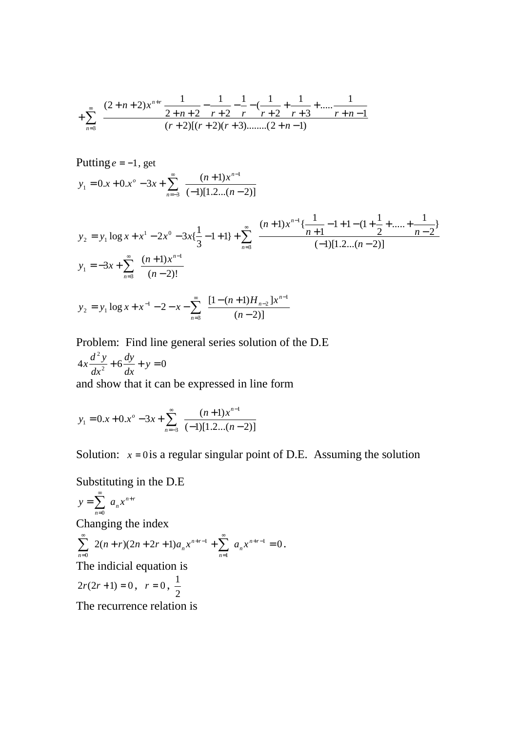$$
+\sum_{n=3}^{\infty} \frac{(2+n+2)x^{n+r}}{2+n+2} - \frac{1}{r+2} - \frac{1}{r} - \frac{1}{r+2} + \frac{1}{r+2} + \dots + \frac{1}{r+n-1}
$$
  
(r+2)[(r+2)(r+3)........(2+n-1)

1

Putting  $e = -1$ , get  $(-1)[1.2...(n-2)]$  $0.x + 0.x^{\circ} - 3x + \sum_{n=0}^{\infty} \frac{(n+1)^n}{(n+1)^n}$ 3  $\frac{1}{1} - 0.1 + 0.1 + 0.2 + \frac{3}{n} = -3 (-1)[1.2...(n = 0 \cdot x + 0 \cdot x^{\circ} - 3x + \sum_{n=0}^{\infty} \frac{(n+1)^n}{(n+1)^n}$  $\infty$   $(n+1)x^{n-1}$  $y_1 = 0.x + 0.x^\circ - 3x + \sum_{n=-3}^{\infty} \frac{(n+1)x^n}{(-1)[1.2...(n+1)]}$ *n n o*

$$
y_2 = y_1 \log x + x^1 - 2x^0 - 3x \left\{ \frac{1}{3} - 1 + 1 \right\} + \sum_{n=3}^{\infty} \frac{(n+1)x^{n-1} \left\{ \frac{1}{n+1} - 1 + 1 - (1 + \frac{1}{2} + \dots + \frac{1}{n-2}) \right\}}{(-1)[1 \cdot 2 \cdot \dots \cdot (n-2)]}
$$
  
\n
$$
y_1 = -3x + \sum_{n=3}^{\infty} \frac{(n+1)x^{n-1}}{(n-2)!}
$$
  
\n
$$
y_2 = y_1 \log x + x^{-1} - 2 - x - \sum_{n=3}^{\infty} \frac{[1 - (n+1)H_{n-2}]x^{n-1}}{(n-2)!}
$$

 $(n-2)]$ 

Problem: Find line general series solution of the D.E  
\n
$$
4x\frac{d^2y}{dx^2} + 6\frac{dy}{dx} + y = 0
$$
\nand show that it can be expressed in line form

3

*n*

and show that it can be expressed in line form

$$
y_1 = 0 \cdot x + 0 \cdot x^{\circ} - 3x + \sum_{n=-3}^{\infty} \frac{(n+1)x^{n-1}}{(-1)[1 \cdot 2 \cdot (n-2)]}
$$

Solution:  $x = 0$  is a regular singular point of D.E. Assuming the solution

Substituting in the D.E

$$
y = \sum_{n=0}^{\infty} a_n x^{n+r}
$$

Changing the index

$$
\sum_{n=0}^{\infty} 2(n+r)(2n+2r+1)a_n x^{n+r-1} + \sum_{n=1}^{\infty} a_n x^{n+r-1} = 0.
$$
  
The indicial equation is

 $2r(2r + 1) = 0$ ,  $r = 0$ , 2 1

The recurrence relation is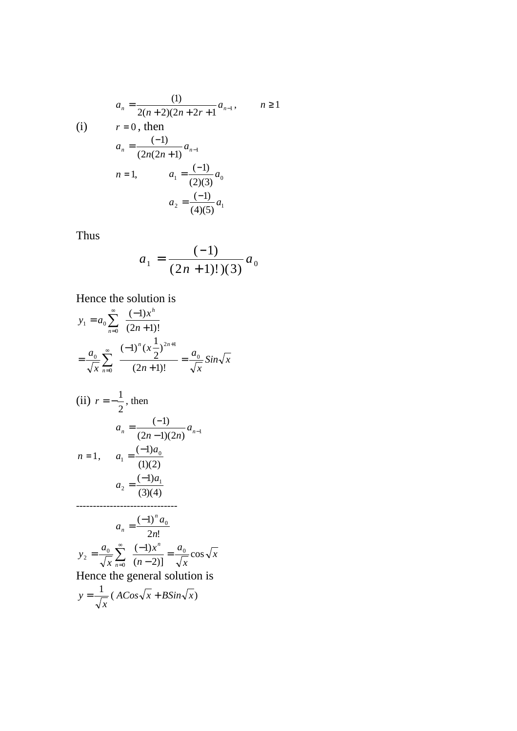$$
a_n = \frac{(1)}{2(n+2)(2n+2r+1)} a_{n-1}, \qquad n \ge 1
$$
  
(i)  $r = 0$ , then

(i) 
$$
r = 0
$$
, then  
\n
$$
a_n = \frac{(-1)}{(2n(2n+1))} a_{n-1}
$$
\n
$$
n = 1, \qquad a_1 = \frac{(-1)}{(2)(3)} a_0
$$
\n
$$
a_2 = \frac{(-1)}{(4)(5)} a_1
$$

Thus

$$
a_1 = \frac{(-1)}{(2n+1)!(3)} a_0
$$

Hence the solution is

$$
y_1 = a_0 \sum_{n=0}^{\infty} \frac{(-1)x^n}{(2n+1)!}
$$
  
\n
$$
= \frac{a_0}{\sqrt{x}} \sum_{n=0}^{\infty} \frac{(-1)^n (x \frac{1}{2})^{2n+1}}{(2n+1)!} = \frac{a_0}{\sqrt{x}} \sin \sqrt{x}
$$
  
\n(ii)  $r = -\frac{1}{2}$ , then  
\n
$$
a_n = \frac{(-1)}{(2n-1)(2n)} a_{n-1}
$$
  
\n $n = 1$ ,  $a_1 = \frac{(-1)a_0}{(1)(2)}$   
\n $a_2 = \frac{(-1)a_1}{(3)(4)}$   
\n $\dots$   
\n $a_n = \frac{(-1)^n a_0}{2n!}$   
\n $y_2 = \frac{a_0}{\sqrt{x}} \sum_{n=0}^{\infty} \frac{(-1)x^n}{(n-2)!} = \frac{a_0}{\sqrt{x}} \cos \sqrt{x}$   
\nHence the general solution is  
\n $y = \frac{1}{\sqrt{x}} (ACos\sqrt{x} + B\sin\sqrt{x})$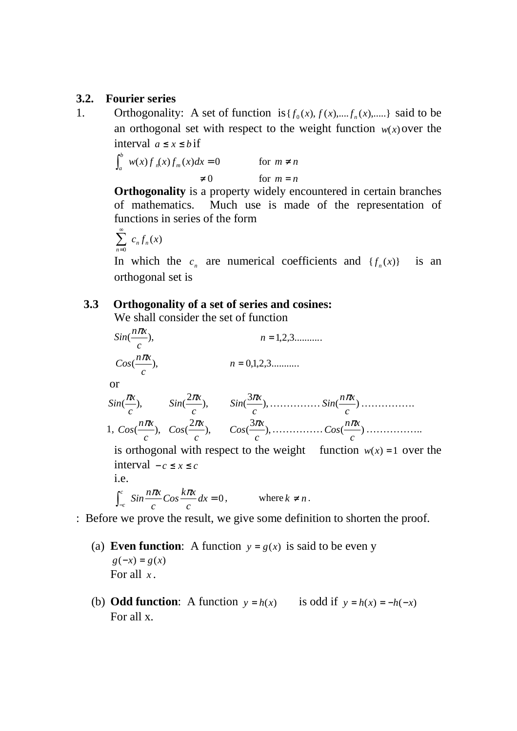#### **3.2. Fourier series**

1. Orthogonality: A set of function is  $\{f_0(x), f(x),..., f_n(x),...\}$  said to be an orthogonal set with respect to the weight function  $w(x)$  over the interval  $a \leq x \leq b$  if

$$
\int_{a}^{b} w(x) f_{n}(x) f_{m}(x) dx = 0 \qquad \text{for } m \neq n
$$
  

$$
\neq 0 \qquad \text{for } m = n
$$

**Orthogonality** is a property widely encountered in certain branches of mathematics. Much use is made of the representation of functions in series of the form

$$
\sum_{n=0}^{\infty} c_n f_n(x)
$$

In which the  $c_n$  are numerical coefficients and  $\{f_n(x)\}$  is an orthogonal set is

#### **3.3 Orthogonality of a set of series and cosines:**

We shall consider the set of function

 $Sin(\frac{H/\mu}{m}),$ *c*  $Sin(\frac{n\pi x}{2})$  $n = 1, 2, 3, \dots$  $\frac{max}{},$ *c*  $Cos(\frac{n\pi x}{2})$  $n = 0,1,2,3...$  or  $\stackrel{\cdot \alpha}{\longrightarrow}$ *c*  $Sin(\frac{\pi x}{n}),$   $Sin(\frac{2\pi x}{n}),$ *c*  $Sin(\frac{2\pi x}{n}), \qquad Sin(\frac{3\pi x}{n}),$ *c*  $Sin(\frac{3\pi x}{n})$ , ................  $Sin(\frac{n\pi x}{n})$ *c n x Sin* <sup>π</sup> …………….  $1, \text{Cos}(\frac{max}{n}),$ *c*  $Cos(\frac{n\pi x}{n}), \quad Cos(\frac{2\pi x}{n}),$ *c*  $Cos(\frac{2\pi x}{n}),$   $Cos(\frac{3\pi x}{n}),$ *c*  $\cos(\frac{3\pi x}{n})$ , ................  $\cos(\frac{n\pi x}{n})$ *c*  $Cos(\frac{n\pi x}{n})$  … is orthogonal with respect to the weight function  $w(x) = 1$  over the interval − *c* ≤ *x* ≤ *c* i.e.

$$
\int_{-c}^{c} \sin \frac{n\pi x}{c} \cos \frac{k\pi x}{c} dx = 0, \qquad \text{where } k \neq n.
$$

: Before we prove the result, we give some definition to shorten the proof.

- (a) **Even function**: A function  $y = g(x)$  is said to be even y  $g(-x) = g(x)$ For all *x* .
- (b) **Odd function**: A function  $y = h(x)$  is odd if  $y = h(x) = -h(-x)$ For all x.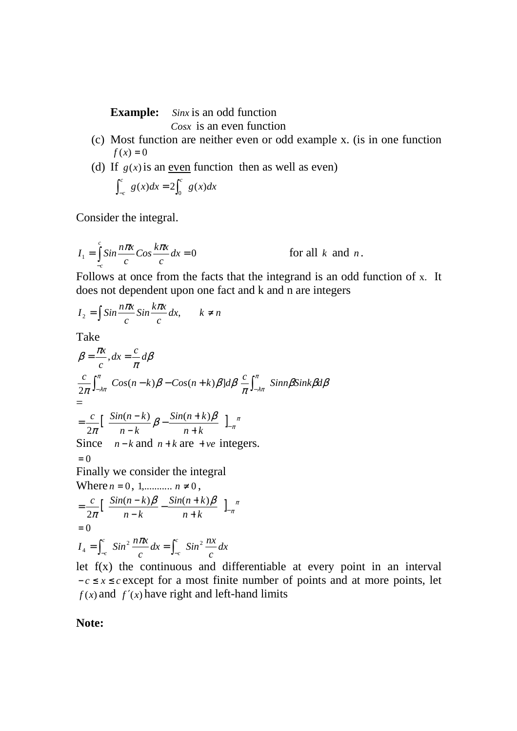**Example:** *Sinx* is an odd function

*Cosx* is an even function

- (c) Most function are neither even or odd example x. (is in one function  $f(x) = 0$
- (d) If  $g(x)$  is an even function then as well as even)

$$
\int_{-c}^{c} g(x)dx = 2 \int_{0}^{c} g(x)dx
$$

Consider the integral.

$$
I_1 = \int_{-c}^{c} \sin \frac{n\pi x}{c} \cos \frac{k\pi x}{c} dx = 0
$$
 for all *k* and *n*.

Follows at once from the facts that the integrand is an odd function of x. It does not dependent upon one fact and k and n are integers

$$
I_2 = \int \sin \frac{n\pi x}{c} \sin \frac{k\pi x}{c} dx, \qquad k \neq n
$$

Take

$$
\beta = \frac{\pi x}{c}, dx = \frac{c}{\pi} d\beta
$$
\n
$$
\frac{c}{2\pi} \int_{-\lambda \pi}^{\pi} \cos(n - k) \beta - \cos(n + k) \beta] d\beta \frac{c}{\pi} \int_{-\lambda \pi}^{\pi} \sin n \beta \sin k \beta d\beta
$$
\n
$$
=
$$
\n
$$
= \frac{c}{2\pi} \Big[ \frac{\sin(n - k)}{n - k} \beta - \frac{\sin(n + k) \beta}{n + k} \Big]_{-\pi}^{\pi}
$$
\nSince  $n - k$  and  $n + k$  are + ve integers.  
\n
$$
= 0
$$
\nFinally we consider the integral\nWhere  $n = 0, 1, \dots, n \neq 0$ ,\n
$$
= \frac{c}{2\pi} \Big[ \frac{\sin(n - k) \beta}{n - k} - \frac{\sin(n + k) \beta}{n + k} \Big]_{-\pi}^{\pi}
$$
\n
$$
= 0
$$
\n
$$
I_4 = \int_{-c}^{c} \sin^2 \frac{n \pi x}{c} dx = \int_{-c}^{c} \sin^2 \frac{n x}{c} dx
$$

let  $f(x)$  the continuous and differentiable at every point in an interval  $-c \le x \le c$  except for a most finite number of points and at more points, let  $f(x)$  and  $f'(x)$  have right and left-hand limits

## **Note:**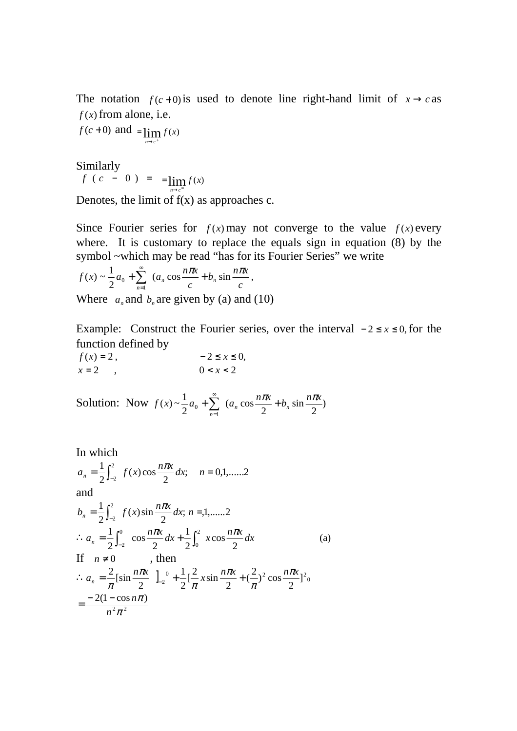The notation  $f(c+0)$  is used to denote line right-hand limit of  $x \rightarrow c$  as  $f(x)$  from alone, i.e.

 $f(c+0)$  and  $= \lim_{n \to c^+} f(x)$ =

Similarly

$$
f(c - 0) = \lim_{n \to c^{-}} f(x)
$$

Denotes, the limit of  $f(x)$  as approaches c.

Since Fourier series for  $f(x)$  may not converge to the value  $f(x)$  every where. It is customary to replace the equals sign in equation (8) by the symbol ~which may be read "has for its Fourier Series" we write

$$
f(x) \sim \frac{1}{2}a_0 + \sum_{n=1}^{\infty} \left( a_n \cos \frac{n\pi x}{c} + b_n \sin \frac{n\pi x}{c} \right),
$$

Where  $a_n$  and  $b_n$  are given by (a) and (10)

Example: Construct the Fourier series, over the interval  $-2 \le x \le 0$ , for the function defined by

$$
f(x) = 2,
$$
  
\n
$$
x = 2,
$$
  
\n
$$
0 < x < 2
$$

Solution: Now  $f(x) \sim \frac{1}{2} a_0 + \sum_{n=1}^{\infty} (a_n \cos \frac{n\pi x}{2} + b_n \sin \frac{n\pi x}{2})$ 2 sin 2  $(a_n \cos$ 2 1 1  $\mathbf{0}$  $a_0 + \sum_{n=1}^{\infty} (a_n \cos \frac{n\pi x}{2} + b_n \sin \frac{n\pi x}{2})$ *n*  $+\sum_{n=-\infty}^{\infty} (a_n \cos \frac{n\pi x}{2} + b_n \sin \frac{n\pi x}{2})$ =

In which  
\n
$$
a_n = \frac{1}{2} \int_{-2}^{2} f(x) \cos \frac{n\pi x}{2} dx; \quad n = 0, 1, \dots, 2
$$
\nand  
\n
$$
b_n = \frac{1}{2} \int_{-2}^{2} f(x) \sin \frac{n\pi x}{2} dx; \quad n = 1, \dots, 2
$$
\n
$$
\therefore a_n = \frac{1}{2} \int_{-2}^{0} \cos \frac{n\pi x}{2} dx + \frac{1}{2} \int_{0}^{2} x \cos \frac{n\pi x}{2} dx
$$
\nIf  $n \neq 0$ , then  
\n
$$
\therefore a_n = \frac{2}{\pi} [\sin \frac{n\pi x}{2} \, ]_{-2}^{0} + \frac{1}{2} [\frac{2}{\pi} x \sin \frac{n\pi x}{2} + (\frac{2}{\pi})^2 \cos \frac{n\pi x}{2}]_{0}^{2}
$$
\n
$$
= \frac{-2(1 - \cos n\pi)}{n^2 \pi^2}
$$
\n(4)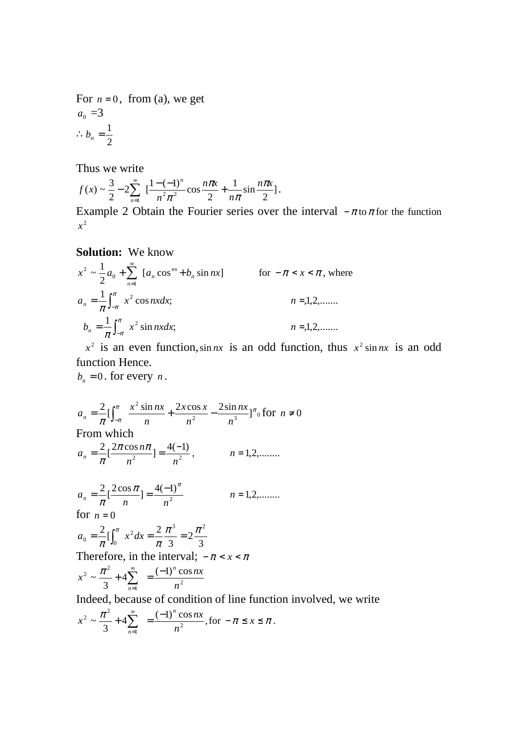For  $n = 0$ , from (a), we get  $a_0 = 3$ 2  $\therefore b_n = \frac{1}{2}$ 

Thus we write

$$
f(x) \sim \frac{3}{2} - 2 \sum_{n=1}^{\infty} \left[ \frac{1 - (-1)^n}{n^2 \pi^2} \cos \frac{n \pi x}{2} + \frac{1}{n \pi} \sin \frac{n \pi x}{2} \right].
$$

Example 2 Obtain the Fourier series over the interval  $-\pi$  to  $\pi$  for the function  $x^2$ 

#### **Solution:** We know

$$
x^{2} \sim \frac{1}{2} a_{0} + \sum_{n=1}^{\infty} [a_{n} \cos^{nx} + b_{n} \sin nx]
$$
 for  $-\pi < x < \pi$ , where  

$$
a_{n} = \frac{1}{\pi} \int_{-\pi}^{\pi} x^{2} \cos nx dx;
$$
 $n = 1, 2, .......$ 
$$
b_{n} = \frac{1}{\pi} \int_{-\pi}^{\pi} x^{2} \sin nx dx;
$$
 $n = 1, 2, .......$ 

 $x^2$  is an even function, sin *nx* is an odd function, thus  $x^2 \sin nx$  is an odd function Hence.

 $b_n = 0$ . for every *n*.

$$
a_n = \frac{2}{\pi} \left[ \int_{-\pi}^{\pi} \frac{x^2 \sin nx}{n} + \frac{2x \cos x}{n^2} - \frac{2 \sin nx}{n^3} \right]_{0}^{\pi} \text{ for } n \neq 0
$$
  
\nFrom which  
\n
$$
a_n = \frac{2}{\pi} \left[ \frac{2\pi \cos n\pi}{n^2} \right] = \frac{4(-1)}{n^2}, \qquad n = 1, 2, \dots
$$
  
\n
$$
a_n = \frac{2}{\pi} \left[ \frac{2 \cos \pi}{n} \right] = \frac{4(-1)^{\pi}}{n^2}, \qquad n = 1, 2, \dots
$$
  
\nfor  $n = 0$   
\n
$$
a_0 = \frac{2}{\pi} \left[ \int_0^{\pi} x^2 dx = \frac{2}{\pi} \frac{\pi^3}{3} = 2 \frac{\pi^2}{3}
$$
  
\nTherefore, in the interval;  $-\pi < x < \pi$   
\n
$$
x^2 \sim \frac{\pi^2}{3} + 4 \sum_{n=1}^{\infty} = \frac{(-1)^n \cos nx}{n^2}
$$
  
\nIndeed, because of condition of line function involved, we write  
\n
$$
x^2 \sim \frac{\pi^2}{3} + 4 \sum_{n=1}^{\infty} = \frac{(-1)^n \cos nx}{n^2}, \text{ for } -\pi \le x \le \pi.
$$

*n*

*n*

=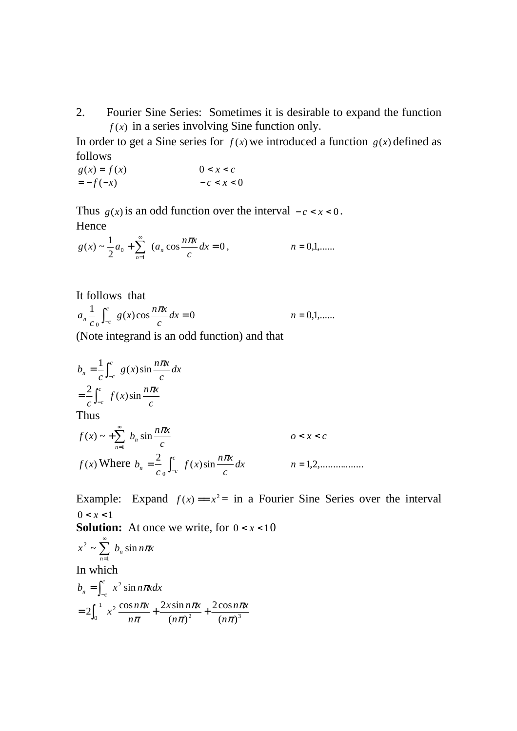2. Fourier Sine Series: Sometimes it is desirable to expand the function  $f(x)$  in a series involving Sine function only.

In order to get a Sine series for  $f(x)$  we introduced a function  $g(x)$  defined as follows

$$
g(x) = f(x)
$$
  

$$
0 < x < c
$$
  

$$
-c < x < 0
$$

Thus  $g(x)$  is an odd function over the interval  $-c < x < 0$ . Hence

$$
g(x) \sim \frac{1}{2}a_0 + \sum_{n=1}^{\infty} (a_n \cos \frac{n\pi x}{c} dx = 0, \qquad n = 0,1,......
$$

It follows that  
\n
$$
a_n \frac{1}{c_0} \int_{-c}^{c} g(x) \cos \frac{n\pi x}{c} dx = 0
$$
\n $n = 0, 1, \dots$ 

(Note integrand is an odd function) and that

$$
b_n = \frac{1}{c} \int_{-c}^{c} g(x) \sin \frac{n\pi x}{c} dx
$$
  
\n
$$
= \frac{2}{c} \int_{-c}^{c} f(x) \sin \frac{n\pi x}{c}
$$
  
\nThus  
\n
$$
f(x) \sim + \sum_{n=1}^{\infty} b_n \sin \frac{n\pi x}{c}
$$
  $0 < x < c$   
\n
$$
f(x) \text{ Where } b_n = \frac{2}{c} \int_{-c}^{c} f(x) \sin \frac{n\pi x}{c} dx
$$
  $n = 1, 2, \dots$ 

Example: Expand  $f(x) = x^2 =$  in a Fourier Sine Series over the interval  $0 < x < 1$ 

**Solution:** At once we write, for  $0 < x < 10$ 

$$
x^{2} \sim \sum_{n=1}^{\infty} b_{n} \sin n\pi x
$$
  
In which  

$$
b_{n} = \int_{-c}^{c} x^{2} \sin n\pi x dx
$$

$$
= 2 \int_{0}^{1} x^{2} \frac{\cos n\pi x}{n\pi} + \frac{2x \sin n\pi x}{(n\pi)^{2}} + \frac{2 \cos n\pi x}{(n\pi)^{3}}
$$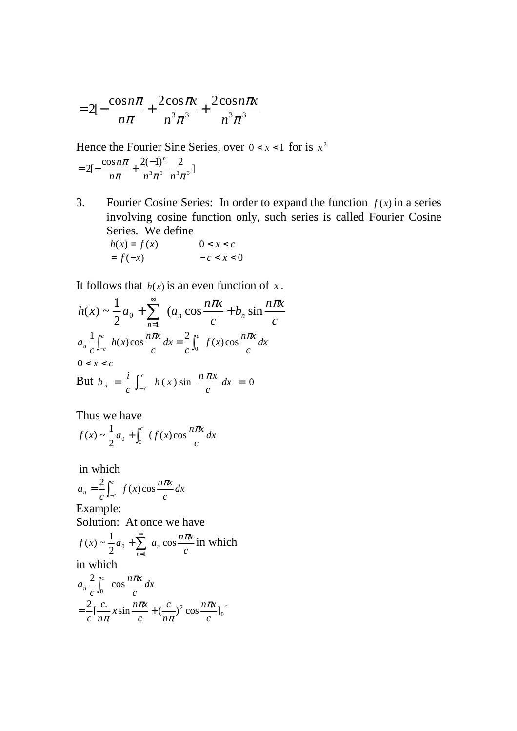$$
=2[-\frac{\cos n\pi}{n\pi}+\frac{2\cos\pi x}{n^3\pi^3}+\frac{2\cos n\pi x}{n^3\pi^3}]
$$

Hence the Fourier Sine Series, over  $0 < x < 1$  for is  $x^2$ 

$$
=2[-\frac{\cos n\pi}{n\pi}+\frac{2(-1)^n}{n^3\pi^3}\frac{2}{n^3\pi^3}]
$$

3. Fourier Cosine Series: In order to expand the function  $f(x)$  in a series involving cosine function only, such series is called Fourier Cosine Series. We define

$$
h(x) = f(x) \qquad \qquad 0 < x < c
$$
\n
$$
= f(-x) \qquad \qquad -c < x < 0
$$

It follows that  $h(x)$  is an even function of  $x$ .

$$
h(x) \sim \frac{1}{2}a_0 + \sum_{n=1}^{\infty} (a_n \cos \frac{n\pi x}{c} + b_n \sin \frac{n\pi x}{c})
$$
  

$$
a_n \frac{1}{c} \int_{-c}^{c} h(x) \cos \frac{n\pi x}{c} dx = \frac{2}{c} \int_{0}^{c} f(x) \cos \frac{n\pi x}{c} dx
$$
  

$$
0 < x < c
$$
  
But  $b_n = \frac{i}{c} \int_{-c}^{c} h(x) \sin \frac{n\pi x}{c} dx = 0$ 

Thus we have

$$
f(x) \sim \frac{1}{2}a_0 + \int_0^c (f(x)\cos\frac{n\pi x}{c} dx
$$

in which

$$
a_n = \frac{2}{c} \int_{-c}^{c} f(x) \cos \frac{n\pi x}{c} dx
$$
  
Example:  
Solution: At once we have  

$$
f(x) \sim \frac{1}{2} a_0 + \sum_{n=1}^{\infty} a_n \cos \frac{n\pi x}{c} \text{ in which}
$$
  
in which  

$$
a_n \frac{2}{c} \int_{0}^{c} \cos \frac{n\pi x}{c} dx
$$

$$
= \frac{2}{c} \left[ \frac{c}{n\pi} x \sin \frac{n\pi x}{c} + \left( \frac{c}{n\pi} \right)^2 \cos \frac{n\pi x}{c} \right]_{0}^{c}
$$

π

*c*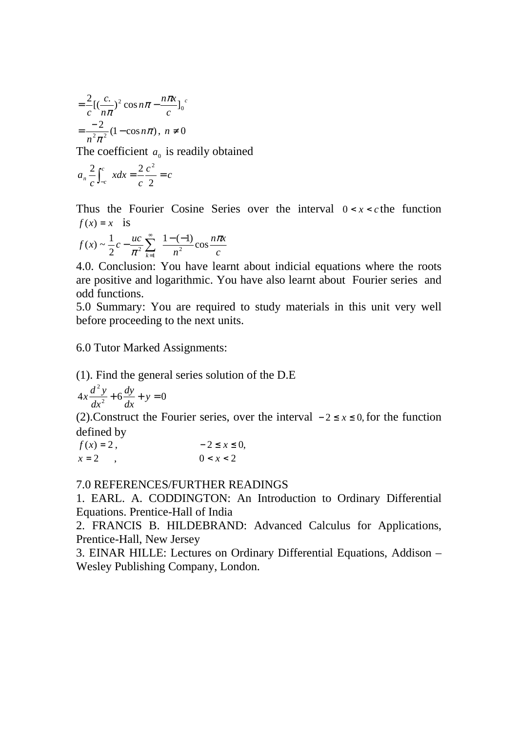$$
= \frac{2}{c} \left[ \left( \frac{c}{n\pi} \right)^2 \cos n\pi - \frac{n\pi x}{c} \right]_0^c
$$

$$
= \frac{-2}{n^2 \pi^2} (1 - \cos n\pi), \ n \neq 0
$$

The coefficient  $a_0$  is readily obtained

$$
a_n \frac{2}{c} \int_{-c}^{c} x dx = \frac{2}{c} \frac{c^2}{2} = c
$$

Thus the Fourier Cosine Series over the interval  $0 < x < c$  the function  $f(x) = x$  is

$$
f(x) \sim \frac{1}{2}c - \frac{uc}{\pi^2} \sum_{k=1}^{\infty} \frac{1 - (-1)}{n^2} \cos \frac{n\pi x}{c}
$$

4.0. Conclusion: You have learnt about indicial equations where the roots are positive and logarithmic. You have also learnt about Fourier series and odd functions.

5.0 Summary: You are required to study materials in this unit very well before proceeding to the next units.

6.0 Tutor Marked Assignments:

(1). Find the general series solution of the D.E

$$
4x\frac{d^2y}{dx^2} + 6\frac{dy}{dx} + y = 0
$$

(2). Construct the Fourier series, over the interval  $-2 \le x \le 0$ , for the function defined by

$$
f(x) = 2,
$$
  
\n
$$
x = 2,
$$
  
\n
$$
0 < x < 2
$$

#### 7.0 REFERENCES/FURTHER READINGS

1. EARL. A. CODDINGTON: An Introduction to Ordinary Differential Equations. Prentice-Hall of India

2. FRANCIS B. HILDEBRAND: Advanced Calculus for Applications, Prentice-Hall, New Jersey

3. EINAR HILLE: Lectures on Ordinary Differential Equations, Addison – Wesley Publishing Company, London.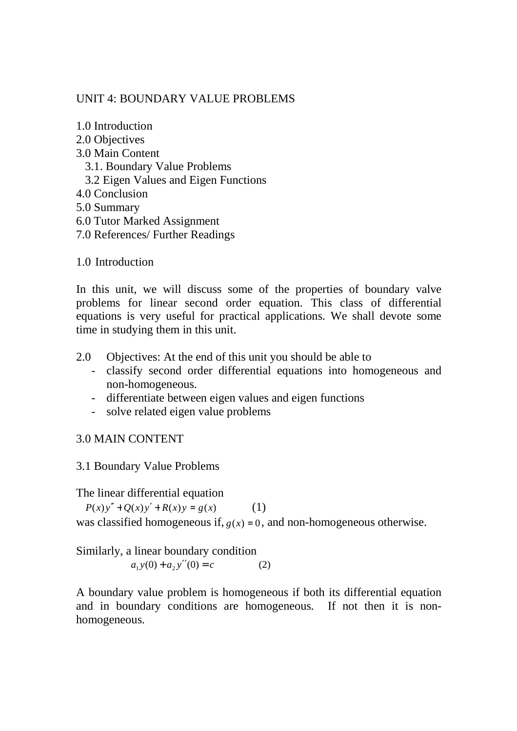## UNIT 4: BOUNDARY VALUE PROBLEMS

1.0 Introduction

2.0 Objectives

## 3.0 Main Content

- 3.1. Boundary Value Problems
- 3.2 Eigen Values and Eigen Functions
- 4.0 Conclusion
- 5.0 Summary
- 6.0 Tutor Marked Assignment
- 7.0 References/ Further Readings

1.0 Introduction

In this unit, we will discuss some of the properties of boundary valve problems for linear second order equation. This class of differential equations is very useful for practical applications. We shall devote some time in studying them in this unit.

- 2.0 Objectives: At the end of this unit you should be able to
	- classify second order differential equations into homogeneous and non-homogeneous.
	- differentiate between eigen values and eigen functions
	- solve related eigen value problems

## 3.0 MAIN CONTENT

## 3.1 Boundary Value Problems

The linear differential equation

 $P(x)y'' + Q(x)y' + R(x)y = g(x)$  (1)

was classified homogeneous if,  $g(x) = 0$ , and non-homogeneous otherwise.

Similarly, a linear boundary condition  $a_1 y(0) + a_2 y''(0) = c$ (2)

A boundary value problem is homogeneous if both its differential equation and in boundary conditions are homogeneous. If not then it is nonhomogeneous.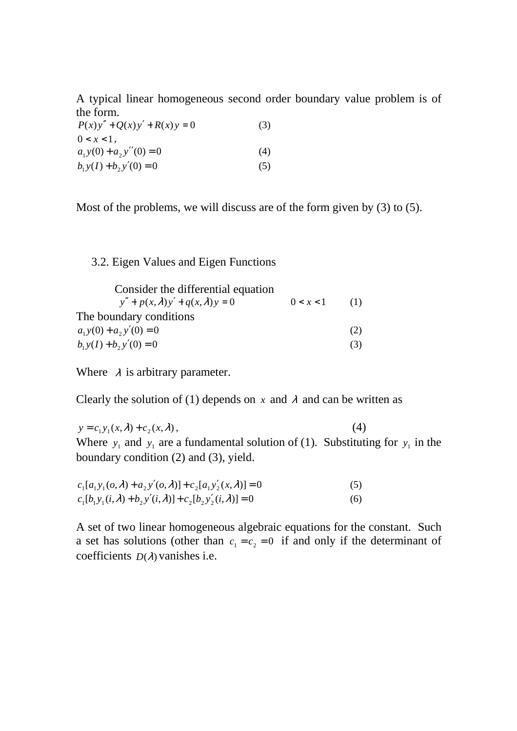A typical linear homogeneous second order boundary value problem is of the form.

| $P(x)y'' + Q(x)y' + R(x)y = 0$ | (3) |
|--------------------------------|-----|
| $0 < x < 1$ ,                  |     |
| $a_1y(0) + a_2y''(0) = 0$      | (4) |
| $b_1 y(I) + b_2 y'(0) = 0$     | (5) |

Most of the problems, we will discuss are of the form given by (3) to (5).

## 3.2. Eigen Values and Eigen Functions

| Consider the differential equation           |           |     |
|----------------------------------------------|-----------|-----|
| $y'' + p(x, \lambda)y' + q(x, \lambda)y = 0$ | 0 < x < 1 | (1) |
| The boundary conditions                      |           |     |
| $a_1y(0) + a_2y'(0) = 0$                     |           | (2) |
| $b_1 y(I) + b_2 y'(0) = 0$                   |           | (3) |

Where  $\lambda$  is arbitrary parameter.

Clearly the solution of (1) depends on  $x$  and  $\lambda$  and can be written as

 $y = c_1 y_1(x, \lambda) + c_2(x, \lambda)$ , (4) Where  $y_1$  and  $y_1$  are a fundamental solution of (1). Substituting for  $y_1$  in the boundary condition (2) and (3), yield.

| $c_1[a_1y_1(o,\lambda)+a_2y'(o,\lambda)]+c_2[a_1y'_2(x,\lambda)]=0$ | (5) |
|---------------------------------------------------------------------|-----|
| $c_1[b_1y_1(i,\lambda)+b_2y'(i,\lambda)]+c_2[b_2y'_2(i,\lambda)]=0$ | (6) |

A set of two linear homogeneous algebraic equations for the constant. Such a set has solutions (other than  $c_1 = c_2 = 0$  if and only if the determinant of coefficients  $D(\lambda)$  vanishes i.e.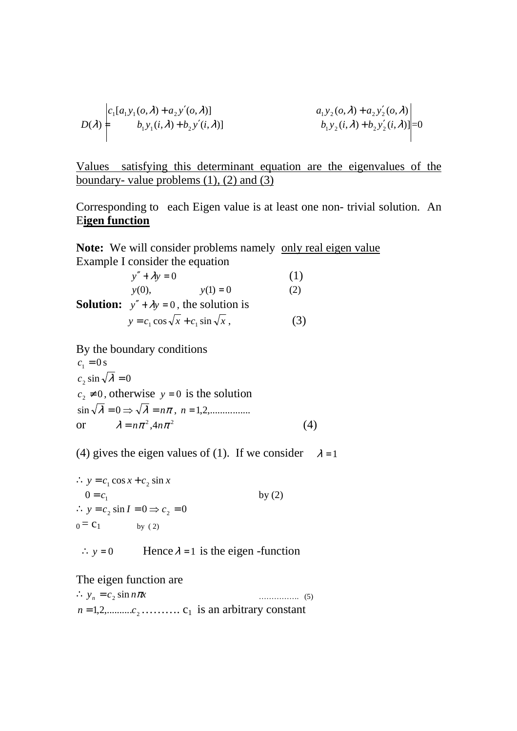$$
D(\lambda) = \begin{vmatrix} c_1[a_1y_1(o, \lambda) + a_2y'(o, \lambda)] & a_1y_2(o, \lambda) + a_2y'_2(o, \lambda) \\ b_1y_1(i, \lambda) + b_2y'(i, \lambda) & b_1y_2(i, \lambda) + b_2y'_2(i, \lambda) \end{vmatrix} = 0
$$

Values satisfying this determinant equation are the eigenvalues of the boundary- value problems (1), (2) and (3)

Corresponding to each Eigen value is at least one non- trivial solution. An E**igen function**

**Note:** We will consider problems namely only real eigen value Example I consider the equation

$$
y'' + \lambda y = 0
$$
(1)  
y(0), y(1) = 0 (2)  
Solution: 
$$
y'' + \lambda y = 0
$$
, the solution is  

$$
y = c_1 \cos \sqrt{x} + c_1 \sin \sqrt{x}
$$
(3)

By the boundary conditions

 $c_1 = 0$  s  $c_2 \sin \sqrt{\lambda} = 0$  $c_2 \neq 0$ , otherwise  $y = 0$  is the solution  $\sin \sqrt{\lambda} = 0 \Rightarrow \sqrt{\lambda} = n\pi$ ,  $n = 1, 2, \dots, \dots, n$ or  $\lambda = n\pi^2, 4n\pi^2$  (4)

(4) gives the eigen values of (1). If we consider  $\lambda = 1$ 

 $\therefore$  *y* =  $c_1$  cos *x* +  $c_2$  sin *x*  $0 = c_1$  by (2)  $\therefore$   $y = c_2 \sin I = 0 \Rightarrow c_2 = 0$  $0 = C_1$  by (2)

 $\therefore$  *y* = 0 Hence  $\lambda$  = 1 is the eigen -function

The eigen function are

 $\therefore$  *y<sub>n</sub>* = *c*<sub>2</sub> sin *nTx* sin <sup>π</sup> ……………. (5)  $n = 1, 2, \dots, c_2, \dots, c_1$  is an arbitrary constant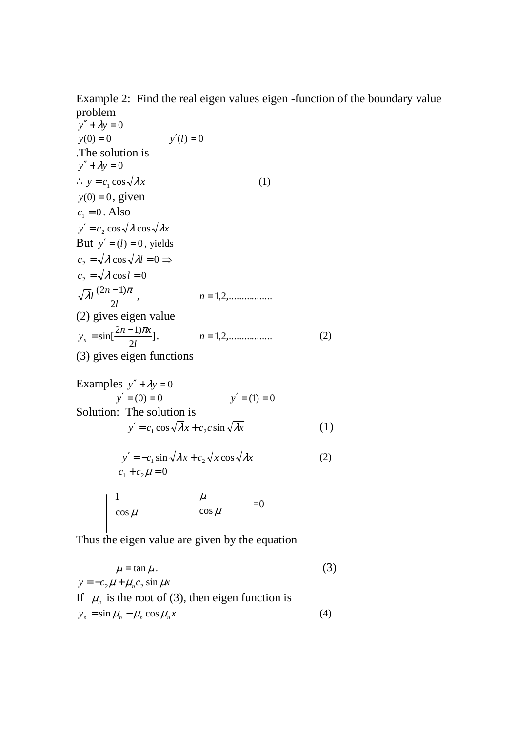Example 2: Find the real eigen values eigen -function of the boundary value problem

$$
y'' + \lambda y = 0
$$
  
\n
$$
y(0) = 0 \t y'(l) = 0
$$
  
\n
$$
\therefore y = c_1 \cos \sqrt{\lambda} x
$$
  
\n
$$
y(0) = 0, \text{ given}
$$
  
\n
$$
c_1 = 0. \text{ Also}
$$
  
\n
$$
y' = c_2 \cos \sqrt{\lambda} \cos \sqrt{\lambda} x
$$
  
\nBut  $y' = (l) = 0$ , yields  
\n
$$
c_2 = \sqrt{\lambda} \cos \sqrt{\lambda} l = 0 \Rightarrow
$$
  
\n
$$
c_2 = \sqrt{\lambda} \cos l = 0
$$
  
\n
$$
\sqrt{\lambda} l \frac{(2n-1)\pi}{2l}, \qquad n = 1, 2, \dots
$$
  
\n(2) gives eigen value  
\n
$$
y_n = \sin[\frac{2n-1)\pi x}{2l}], \qquad n = 1, 2, \dots
$$
  
\n(3) gives eigen functions (2)

Examples 
$$
y'' + \lambda y = 0
$$
  
\n $y' = (0) = 0$   $y' = (1) = 0$   
\nSolution: The solution is  
\n
$$
y' = c_1 \cos \sqrt{\lambda} x + c_2 c \sin \sqrt{\lambda} x
$$
\n(1)

$$
y' = -c_1 \sin \sqrt{\lambda} x + c_2 \sqrt{x} \cos \sqrt{\lambda} x
$$
  
\n
$$
c_1 + c_2 \mu = 0
$$
\n(2)

$$
\begin{vmatrix} 1 & \mu \\ \cos \mu & \cos \mu \end{vmatrix} = 0
$$

Thus the eigen value are given by the equation

$$
\mu = \tan \mu.
$$
\n(3)  
\n
$$
y = -c_2 \mu + \mu_n c_2 \sin \mu x
$$
\nIf  $\mu_n$  is the root of (3), then eigen function is  
\n
$$
y_n = \sin \mu_n - \mu_n \cos \mu_n x
$$
\n(4)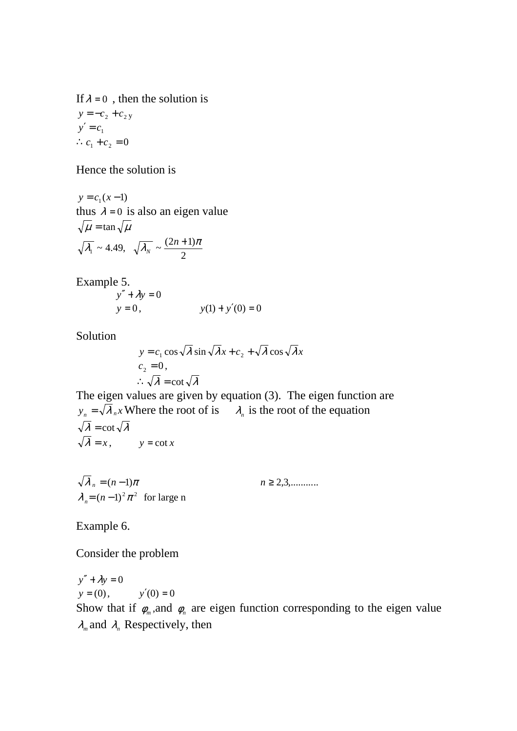If  $\lambda = 0$ , then the solution is  $y = -c_2 + c_2$  $y' = c_1$ ∴  $c_1 + c_2 = 0$ 

Hence the solution is

 $y = c_1(x-1)$ thus  $\lambda = 0$  is also an eigen value  $\sqrt{\mu} = \tan \sqrt{\mu}$  $\lambda_1 \sim 4.49$ , 2  $\overline{\lambda_{N}} \sim \frac{(2n+1)\pi}{2}$ *N*

Example 5.

$$
y'' + \lambda y = 0
$$
  
y = 0, y(1) + y'(0) = 0

Solution

$$
y = c_1 \cos \sqrt{\lambda} \sin \sqrt{\lambda} x + c_2 + \sqrt{\lambda} \cos \sqrt{\lambda} x
$$
  

$$
c_2 = 0,
$$
  

$$
\therefore \sqrt{\lambda} = \cot \sqrt{\lambda}
$$

The eigen values are given by equation (3). The eigen function are  $y_n = \sqrt{\lambda_n} x$  Where the root of is  $\lambda_n$  is the root of the equation  $\sqrt{\lambda} = \cot \sqrt{\lambda}$  $\sqrt{\lambda} = x$ ,  $y = \cot x$ 

$$
\sqrt{\lambda}_n = (n-1)\pi
$$
  
\n
$$
\lambda_n = (n-1)^2 \pi^2
$$
 for large n

Example 6.

Consider the problem

 $y'' + \lambda y = 0$  $y = (0)$ ,  $y'(0) = 0$ Show that if  $\phi_m$ , and  $\phi_n$  are eigen function corresponding to the eigen value  $\lambda_m$  and  $\lambda_n$  Respectively, then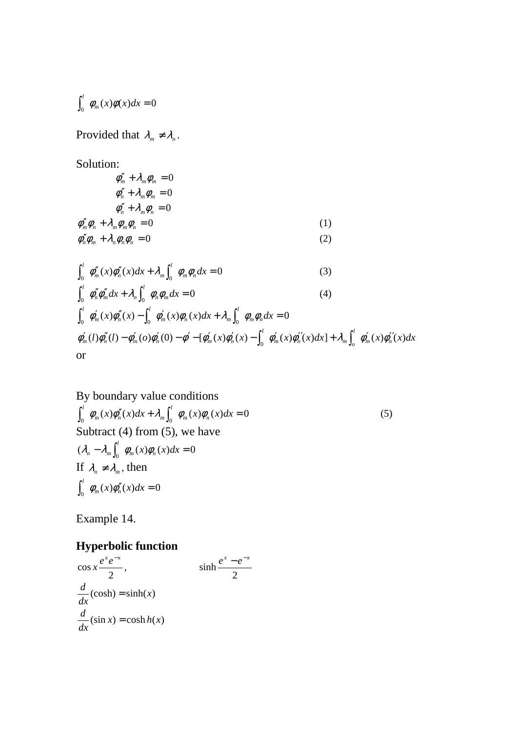$$
\int_0^l \phi_m(x)\phi(x)dx = 0
$$

Provided that  $\lambda_m \neq \lambda_n$ .

Solution:

$$
\phi''_m + \lambda_m \phi_m = 0
$$
  
\n
$$
\phi''_n + \lambda_m \phi_m = 0
$$
  
\n
$$
\phi''_n + \lambda_m \phi_n = 0
$$
  
\n
$$
\phi''_m \phi_n + \lambda_m \phi_m \phi_n = 0
$$
  
\n
$$
\phi''_n \phi_m + \lambda_n \phi_n \phi_n = 0
$$
\n(1)

$$
\int_0^l \phi_m''(x)\phi_n''(x)dx + \lambda_m \int_0^l \phi_m\phi_n dx = 0
$$
\n(3)

$$
\int_0^l \phi''_n \phi''_m dx + \lambda_n \int_0^l \phi_n \phi_m dx = 0
$$
\n(4)

$$
\int_0^l \phi'_m(x)\phi''_n(x) - \int_0^l \phi'_m(x)\phi_n(x)dx + \lambda_m \int_0^l \phi_m\phi_n dx = 0
$$
  
 
$$
\phi'_m(l)\phi''_n(l) - \phi'_m(o)\phi'_n(0) - \phi' - [\phi'_m(x)\phi'_n(x) - \int_0^l \phi'_m(x)\phi''_n(x)dx] + \lambda_m \int_0^l \phi'_m(x)\phi''_n(x)dx
$$
  
or

# By boundary value conditions

 $\int_0^l \phi_m(x) \phi''_n(x) dx + \lambda_m \int_0^l \phi_m(x) \phi_n(x) dx = 0$  $m(\lambda)$  $\varphi_n(\lambda)$  $\mu\lambda$   $\mu$ <sub>m</sub>  $\int_{m}^{l} \phi_{m}(x) \phi_{n}''(x) dx + \lambda_{m} \int_{l}^{l} \phi_{m}(x) \phi_{n}(x) dx = 0$  (5) Subtract (4) from  $(5)$ , we have  $(\lambda_n - \lambda_m \int_0^l \phi_m(x) \phi_n(x) dx = 0$ If  $\lambda_n \neq \lambda_m$ , then  $\int_0^l \phi_m(x) \phi''_n(x) dx = 0$ 

2

 $e^{x} - e^{-x}$ 

sinh

Example 14.

# **Hyperbolic function**

$$
\cos x \frac{e^{x}e^{-x}}{2},
$$
  

$$
\frac{d}{dx}(\cosh) = \sinh(x)
$$
  

$$
\frac{d}{dx}(\sin x) = \cosh h(x)
$$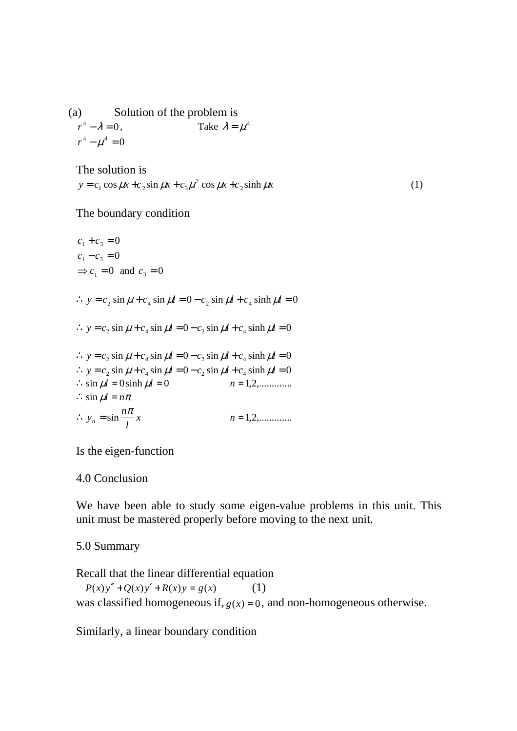(a) Solution of the problem is  $\lambda^4 - \lambda = 0$  $r^4 - \lambda = 0$ , Take  $\lambda = \mu^4$  $r^4 - \mu^4 = 0$ 

The solution is  $y = c_1 \cos \mu x + c_2 \sin \mu x + c_3 \mu^2 \cos \mu x + c_2 \sinh \mu x$  (1)

The boundary condition

 $c_1 + c_3 = 0$  $c_1 - c_3 = 0$  $\Rightarrow$   $c_1 = 0$  and  $c_3 = 0$  $\therefore$  *y* = *c*<sub>2</sub> sin  $\mu$  + *c*<sub>4</sub> sin  $\mu$ *l* = 0 − *c*<sub>2</sub> sin  $\mu$ *l* + *c*<sub>4</sub> sinh  $\mu$ *l* = 0  $\therefore$  *y* = *c*<sub>2</sub> sin  $\mu$  + *c*<sub>4</sub> sin  $\mu$ *l* = 0 - *c*<sub>2</sub> sin  $\mu$ *l* + *c*<sub>4</sub> sinh  $\mu$ *l* = 0  $\therefore$  *y* = *c*<sub>2</sub> sin  $\mu$  + *c*<sub>4</sub> sin  $\mu$ *l* = 0−*c*<sub>2</sub> sin  $\mu$ *l* + *c*<sub>4</sub> sinh  $\mu$ *l* = 0  $\therefore$  *y* = *c*<sub>2</sub> sin  $\mu$  + *c*<sub>4</sub> sin  $\mu$ *l* = 0 - *c*<sub>2</sub> sin  $\mu$ *l* + *c*<sub>4</sub> sinh  $\mu$ *l* = 0 ∴sin µ*l* = 0sinh µ*l* = 0 *n* = 2,1 ,.............  $\therefore$  sin  $\mu l = n\pi$ *x l*  $\therefore y_n = \sin \frac{n\pi}{l} x$   $n = 1, 2, \dots$ 

Is the eigen-function

4.0 Conclusion

We have been able to study some eigen-value problems in this unit. This unit must be mastered properly before moving to the next unit.

5.0 Summary

Recall that the linear differential equation  $P(x)y'' + Q(x)y' + R(x)y = g(x)$  (1) was classified homogeneous if,  $g(x) = 0$ , and non-homogeneous otherwise.

Similarly, a linear boundary condition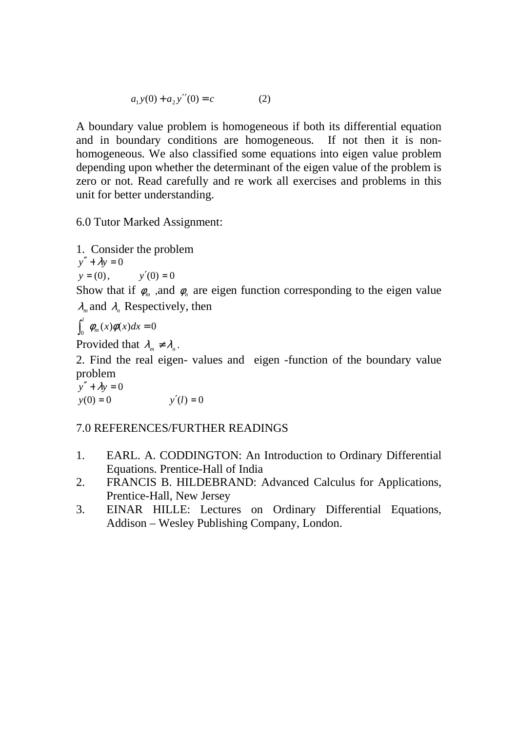$$
a_1 y(0) + a_2 y''(0) = c \tag{2}
$$

A boundary value problem is homogeneous if both its differential equation and in boundary conditions are homogeneous. If not then it is nonhomogeneous. We also classified some equations into eigen value problem depending upon whether the determinant of the eigen value of the problem is zero or not. Read carefully and re work all exercises and problems in this unit for better understanding.

6.0 Tutor Marked Assignment:

1. Consider the problem  $y'' + \lambda y = 0$  $y = (0)$ ,  $y'(0) = 0$ 

Show that if  $\phi_m$ , and  $\phi_n$  are eigen function corresponding to the eigen value  $\lambda_m$  and  $\lambda_n$  Respectively, then

$$
\int_0^l \phi_m(x)\phi(x)dx = 0
$$

Provided that  $\lambda_m \neq \lambda_n$ .

2. Find the real eigen- values and eigen -function of the boundary value problem

 $y'' + \lambda y = 0$  $y(0) = 0$   $y'(l) = 0$ 

## 7.0 REFERENCES/FURTHER READINGS

- 1. EARL. A. CODDINGTON: An Introduction to Ordinary Differential Equations. Prentice-Hall of India
- 2. FRANCIS B. HILDEBRAND: Advanced Calculus for Applications, Prentice-Hall, New Jersey
- 3. EINAR HILLE: Lectures on Ordinary Differential Equations, Addison – Wesley Publishing Company, London.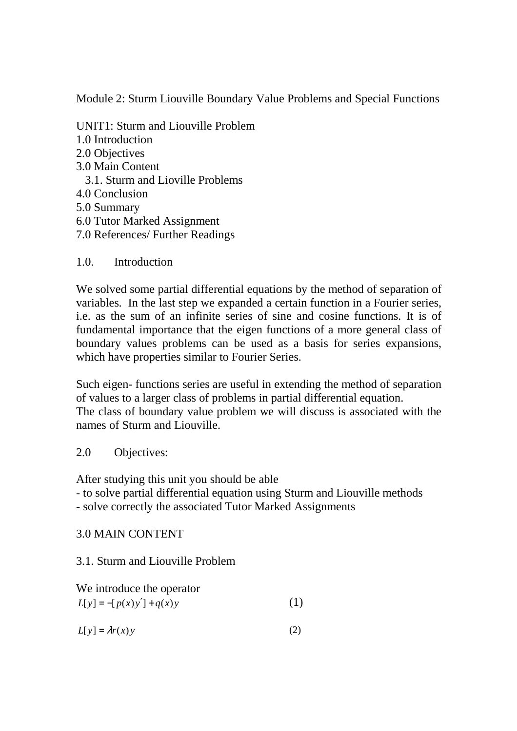Module 2: Sturm Liouville Boundary Value Problems and Special Functions

UNIT1: Sturm and Liouville Problem 1.0 Introduction 2.0 Objectives 3.0 Main Content 3.1. Sturm and Lioville Problems 4.0 Conclusion 5.0 Summary 6.0 Tutor Marked Assignment 7.0 References/ Further Readings

1.0. Introduction

We solved some partial differential equations by the method of separation of variables. In the last step we expanded a certain function in a Fourier series, i.e. as the sum of an infinite series of sine and cosine functions. It is of fundamental importance that the eigen functions of a more general class of boundary values problems can be used as a basis for series expansions, which have properties similar to Fourier Series.

Such eigen- functions series are useful in extending the method of separation of values to a larger class of problems in partial differential equation. The class of boundary value problem we will discuss is associated with the names of Sturm and Liouville.

2.0 Objectives:

After studying this unit you should be able

- to solve partial differential equation using Sturm and Liouville methods

- solve correctly the associated Tutor Marked Assignments

3.0 MAIN CONTENT

3.1. Sturm and Liouville Problem

We introduce the operator

| $L[y] = -[p(x)y'] + q(x)y$ | (1) |
|----------------------------|-----|
|----------------------------|-----|

 $L[y] = \lambda r(x)y$  (2)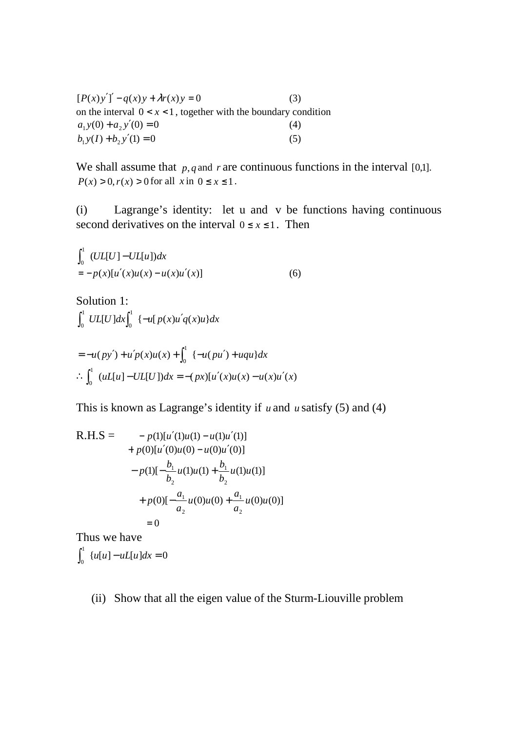$[P(x)y']' - q(x)y + \lambda r(x)y = 0$  (3) on the interval  $0 < x < 1$ , together with the boundary condition  $a_1 y(0) + a_2 y'(0) = 0$  (4)  $b_1 y(I) + b_2 y'(1) = 0$  (5)

We shall assume that  $p, q$  and  $r$  are continuous functions in the interval [0,1].  $P(x) > 0, r(x) > 0$  for all  $x \text{ in } 0 \le x \le 1$ .

(i) Lagrange's identity: let u and v be functions having continuous second derivatives on the interval  $0 \le x \le 1$ . Then

$$
\int_0^1 (UL[U] - UL[u])dx
$$
  
=  $-p(x)[u'(x)u(x) - u(x)u'(x)]$  (6)

Solution 1:  $UL[U]dx$ <sup>[ $\int$ </sup> $\left\{-u[p(x)u'q(x)u\}dx\right\}$  $\mathbf{0}$ 1  $\int_0^1$  UL[U]dx $\int_0^1$  {-u[p(x)u'

$$
= -u(py') + u'p(x)u(x) + \int_0^1 \{-u(pu') + uqu\}dx
$$
  
 
$$
\therefore \int_0^1 (uL[u] - UL[U])dx = -(px)[u'(x)u(x) - u(x)u'(x)]
$$

This is known as Lagrange's identity if *u* and *u* satisfy (5) and (4)

R.H.S = 
$$
- p(1)[u'(1)u(1) - u(1)u'(1)] + p(0)[u'(0)u(0) - u(0)u'(0)] - p(1)[-\frac{b_1}{b_2}u(1)u(1) + \frac{b_1}{b_2}u(1)u(1)] + p(0)[-\frac{a_1}{a_2}u(0)u(0) + \frac{a_1}{a_2}u(0)u(0)] = 0
$$

Thus we have

 $\{u[u] - uL[u]dx = 0\}$  $\int_0^1 \{u[u] - uL[u]\}dx =$ 

(ii) Show that all the eigen value of the Sturm-Liouville problem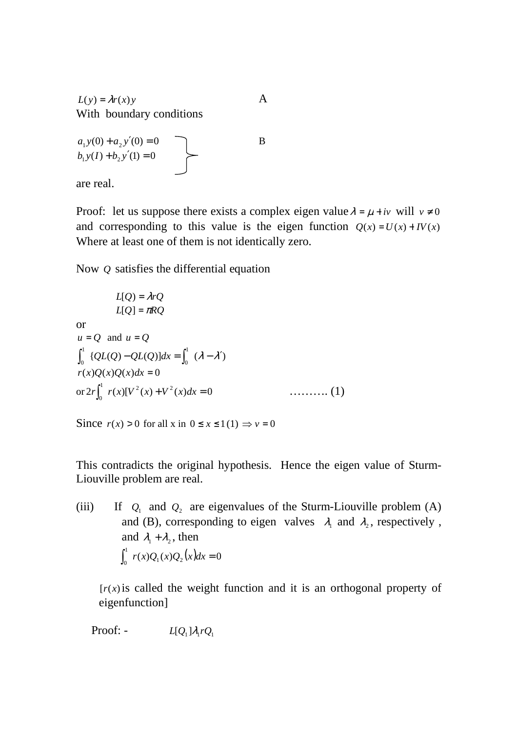$L(y) = \lambda r(x)y$  A With boundary conditions

$$
a_1 y(0) + a_2 y'(0) = 0b_1 y(I) + b_2 y'(1) = 0
$$

are real.

Proof: let us suppose there exists a complex eigen value  $\lambda = \mu + iv$  will  $v \neq 0$ and corresponding to this value is the eigen function  $Q(x) = U(x) + IV(x)$ Where at least one of them is not identically zero.

Now *Q* satisfies the differential equation

$$
L[Q] = \lambda rQ
$$
  
\n
$$
L[Q] = \pi RQ
$$
  
\nor  
\n
$$
u = Q \text{ and } u = Q
$$
  
\n
$$
\int_0^1 {QL(Q) - QL(Q)} dx = \int_0^1 (\lambda - \lambda')
$$
  
\n
$$
r(x)Q(x)Q(x)dx = 0
$$
  
\nor 
$$
2r \int_0^1 r(x)[V^2(x) + V^2(x)dx = 0
$$
 ......... (1)

Since  $r(x) > 0$  for all x in  $0 \le x \le 1(1) \Rightarrow v = 0$ 

This contradicts the original hypothesis. Hence the eigen value of Sturm-Liouville problem are real.

(iii) If  $Q_1$  and  $Q_2$  are eigenvalues of the Sturm-Liouville problem (A) and (B), corresponding to eigen valves  $\lambda_1$  and  $\lambda_2$ , respectively, and  $\lambda_1 + \lambda_2$ , then  $\int_0^1 r(x)Q_1(x)Q_2(x)dx = 0$  $\int_0^1 r(x)Q_1(x)Q_2(x)dx =$ 

 $r(x)$  is called the weight function and it is an orthogonal property of eigenfunction]

Proof: -  $L[Q_1]\lambda_1 rQ_1$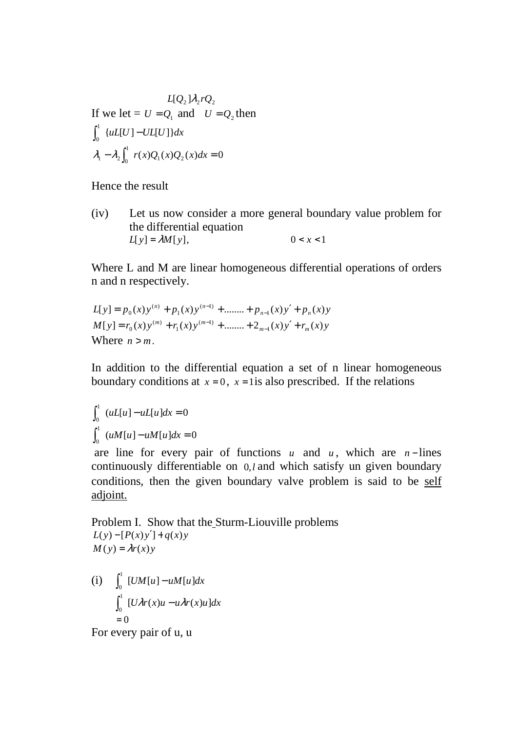$$
L[Q_2]\lambda_2 r Q_2
$$
  
If we let =  $U = Q_1$  and  $U = Q_2$  then  

$$
\int_0^1 \{uL[U] - UL[U]\}dx
$$

$$
\lambda_1 - \lambda_2 \int_0^1 r(x)Q_1(x)Q_2(x)dx = 0
$$

Hence the result

(iv) Let us now consider a more general boundary value problem for the differential equation  $L[y] = \lambda M[y],$  0 < *x* < 1

Where L and M are linear homogeneous differential operations of orders n and n respectively.

$$
L[y] = p_0(x)y^{(n)} + p_1(x)y^{(n-1)} + \dots + p_{n-1}(x)y' + p_n(x)y
$$
  
\n
$$
M[y] = r_0(x)y^{(m)} + r_1(x)y^{(m-1)} + \dots + 2_{m-1}(x)y' + r_m(x)y
$$
  
\nWhere  $n > m$ .

In addition to the differential equation a set of n linear homogeneous boundary conditions at  $x = 0$ ,  $x = 1$  is also prescribed. If the relations

$$
\int_0^1 (uL[u] - uL[u]dx = 0
$$
  

$$
\int_0^1 (uM[u] - uM[u]dx = 0
$$

are line for every pair of functions  $u$  and  $u$ , which are  $n$ -lines continuously differentiable on 0,*l* and which satisfy un given boundary conditions, then the given boundary valve problem is said to be self adjoint.

Problem I. Show that the Sturm-Liouville problems  $L(y) - [P(x)y'] + q(x)y$  $M(y) = \lambda r(x)y$ 

(i) 
$$
\int_0^1 [UM[u] - uM[u]dx
$$

$$
\int_0^1 [U\lambda r(x)u - u\lambda r(x)u]dx
$$

$$
= 0
$$

For every pair of u, u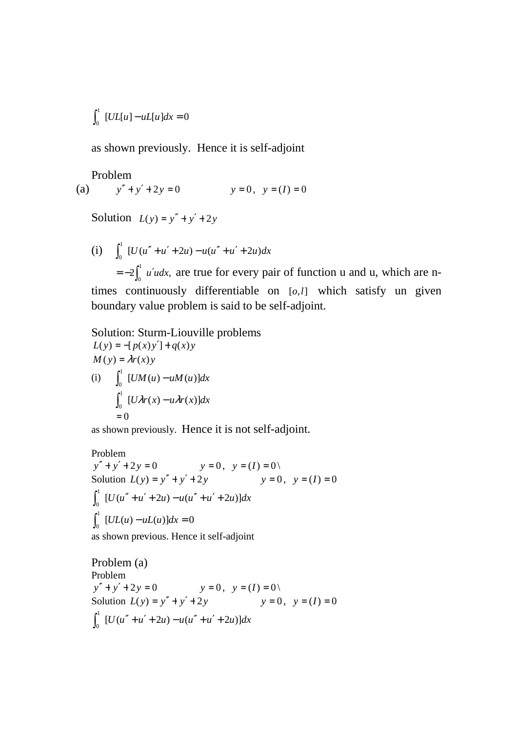$$
\int_0^1 [UL[u] - uL[u]dx = 0
$$

as shown previously. Hence it is self-adjoint

Problem (a)  $y'' + y' + 2y = 0$   $y = 0, y = (I) = 0$ 

Solution  $L(y) = y'' + y' + 2y$ 

(i)  $\int_a^1 [U(u'' + u' + 2u) - u(u'' + u' + 2u)dx$  $\int_0^1 [U(u'' + u' + 2u) - u(u'' + u' +$  $2\int_{a}^{1} u' u dx$ ,  $=-2\int_0^1 u' u dx$ , are true for every pair of function u and u, which are ntimes continuously differentiable on [o,1] which satisfy un given boundary value problem is said to be self-adjoint.

Solution: Sturm-Liouville problems  $L(y) = -[p(x)y'] + q(x)y$  $M(y) = \lambda r(x)y$ (i)  $\int_{a}^{1} [UM(u) - uM(u)]dx$  $\int_0^1$  [*UM*(*u*) –  $\int_{a}^{1}$  [*U* $\lambda r(x) - u \lambda r(x)$ ]dx  $\int_0^1$   $[U\lambda r(x) - u\lambda r]$  $= 0$ 

as shown previously. Hence it is not self-adjoint.

Problem  $y'' + y' + 2y = 0$ <br> *y* = 0,  $y = (I) = 0 \setminus$ <br> *y* = 0,  $y = (I) = 0$ <br> *y* = 0,  $y = (I) = 0$ Solution  $L(y) = y'' + y' + 2y$  $\int_{a}^{1} [U(u'' + u' + 2u) - u(u'' + u' + 2u)]dx$  $\int_0^1 [U(u'' + u' + 2u) - u(u'' + u' +$  $\big[ UL(u) - uL(u) \big] dx = 0$  $\int_0^1 [UL(u) - uL(u)]dx =$ as shown previous. Hence it self-adjoint

Problem (a) Problem  $y'' + y' + 2y = 0$   $y = 0, y = (I) = 0 \backslash$ Solution  $L(y) = y'' + y' + 2y$   $y = 0, y = (I) = 0$  $\int_{0}^{1} [U(u'' + u' + 2u) - u(u'' + u' + 2u)]dx$  $\int_0^1 [U(u'' + u' + 2u) - u(u'' + u' +$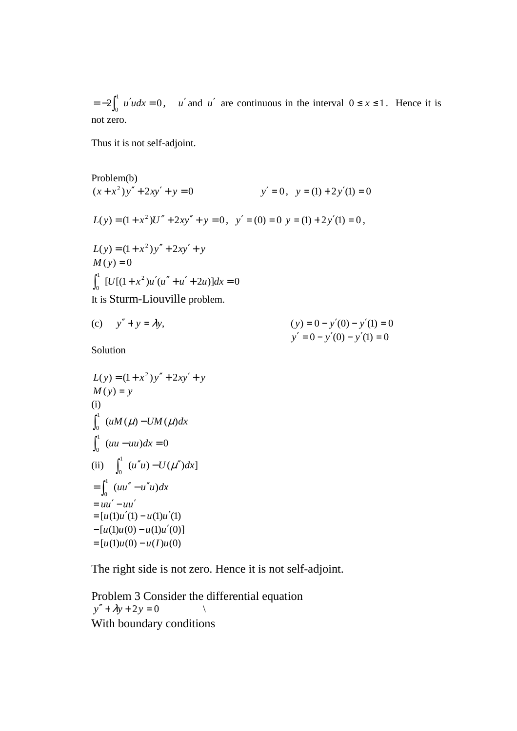$2\int_{a}^{1} u' u dx = 0$  $=-2\int_0^1 u'udx = 0$ , *u'* and *u'* are continuous in the interval  $0 \le x \le 1$ . Hence it is not zero.

Thus it is not self-adjoint.

Problem(b)  
\n
$$
(x+x^2)y'' + 2xy' + y = 0
$$
  $y' = 0$ ,  $y = (1) + 2y'(1) = 0$   
\n $L(y) = (1+x^2)U'' + 2xy'' + y = 0$ ,  $y' = (0) = 0$   $y = (1) + 2y'(1) = 0$ ,  
\n $L(y) = (1+x^2)y'' + 2xy' + y$   
\n $M(y) = 0$   
\n $\int_0^1 [U[(1+x^2)u'(u'' + u' + 2u)]dx = 0$   
\nIt is Sturm-Liouville problem.

(c) 
$$
y'' + y = \lambda y
$$
,   
\n $y' = 0 - y'(0) - y'(1) = 0$   
\n $y' = 0 - y'(0) - y'(1) = 0$ 

Solution

$$
L(y) = (1 + x^2) y'' + 2xy' + y
$$
  
\n
$$
M(y) = y
$$
  
\n(i)  
\n
$$
\int_0^1 (uM(\mu) - UM(\mu)dx)
$$
  
\n
$$
\int_0^1 (uu - uu)dx = 0
$$
  
\n(ii)  
\n
$$
\int_0^1 (u''u) - U(\mu'')dx
$$
  
\n
$$
= \int_0^1 (uu'' - u''u)dx
$$
  
\n
$$
= uu' - uu'
$$
  
\n
$$
= [u(1)u'(1) - u(1)u'(1)]
$$
  
\n
$$
= [u(1)u(0) - u(1)u'(0)]
$$
  
\n
$$
= [u(1)u(0) - u(1)u(0)]
$$

The right side is not zero. Hence it is not self-adjoint.

Problem 3 Consider the differential equation  $y'' + \lambda y + 2y = 0$  \ With boundary conditions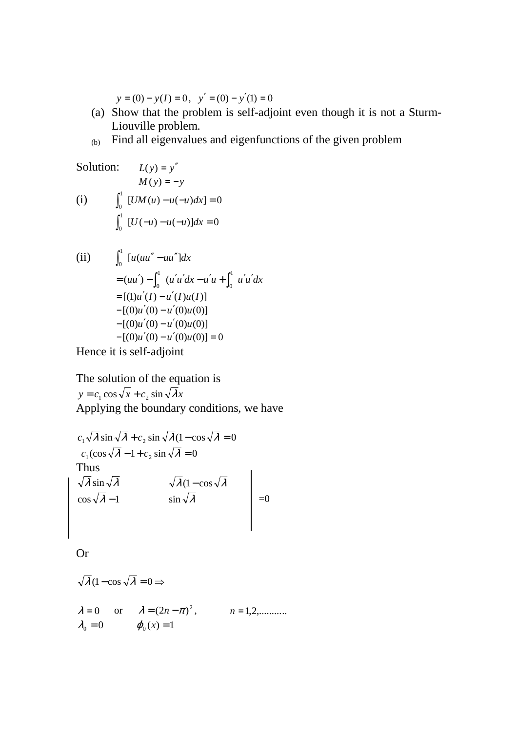$y = (0) - y(I) = 0$ ,  $y' = (0) - y'(1) = 0$ 

- (a) Show that the problem is self-adjoint even though it is not a Sturm-Liouville problem.
- (b) Find all eigenvalues and eigenfunctions of the given problem

Solution: 
$$
L(y) = y''
$$
  
\n $M(y) = -y$   
\n(i)  $\int_0^1 [UM(u) - u(-u)dx] = 0$   
\n $\int_0^1 [U(-u) - u(-u)]dx = 0$ 

(ii) 
$$
\int_0^1 [u(uu'' - uu'']dx
$$
  
=  $(uu') - \int_0^1 (u'u'dx - u'u + \int_0^1 u'u'dx$   
=  $[(1)u'(I) - u'(I)u(I)]$   
-  $[(0)u'(0) - u'(0)u(0)]$   
-  $[(0)u'(0) - u'(0)u(0)]$   
-  $[(0)u'(0) - u'(0)u(0)] = 0$ 

Hence it is self-adjoint

The solution of the equation is  $y = c_1 \cos \sqrt{x} + c_2 \sin \sqrt{\lambda} x$ Applying the boundary conditions, we have

$$
c_1 \sqrt{\lambda} \sin \sqrt{\lambda} + c_2 \sin \sqrt{\lambda} (1 - \cos \sqrt{\lambda} = 0
$$
  
\n
$$
c_1(\cos \sqrt{\lambda} - 1 + c_2 \sin \sqrt{\lambda} = 0
$$
  
\nThus  
\n
$$
\sqrt{\lambda} \sin \sqrt{\lambda} \qquad \sqrt{\lambda} (1 - \cos \sqrt{\lambda})
$$
  
\n
$$
\cos \sqrt{\lambda} - 1 \qquad \sin \sqrt{\lambda} \qquad = 0
$$
  
\n
$$
= 0
$$

Or

$$
\sqrt{\lambda}(1 - \cos\sqrt{\lambda} = 0 \Rightarrow
$$
  
\n
$$
\lambda = 0 \quad \text{or} \quad \lambda = (2n - \pi)^2, \quad n = 1, 2, \dots
$$
  
\n
$$
\lambda_0 = 0 \quad \varphi_0(x) = 1
$$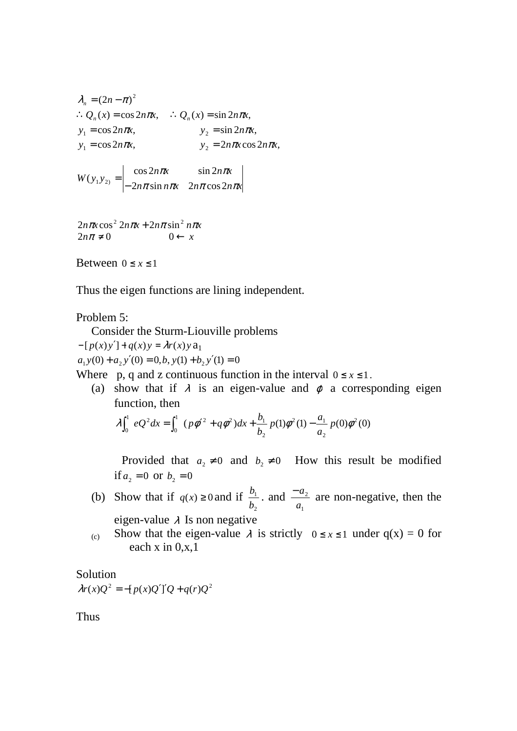$$
\lambda_n = (2n - \pi)^2
$$
  
\n
$$
\therefore Q_n(x) = \cos 2n\pi x, \qquad \therefore Q_n(x) = \sin 2n\pi x,
$$
  
\n
$$
y_1 = \cos 2n\pi x, \qquad y_2 = \sin 2n\pi x,
$$
  
\n
$$
y_1 = \cos 2n\pi x, \qquad y_2 = 2n\pi x \cos 2n\pi x,
$$

 $n\pi$  sin  $n\pi x$   $2n\pi$  cos  $2n\pi x$  $n\pi x$   $\sin 2n\pi x$  $W(y_1y_2) = \begin{vmatrix} \cos \pi x & \sin \pi x \\ -2n\pi \sin n\pi x & 2n\pi \cos 2n\pi \end{vmatrix}$  $\pi x$  sin  $2n\pi$  $2n\pi$ sin  $n\pi x$   $2n\pi \cos 2$  $\cos 2n\pi x$   $\sin 2$  $(y_1 y_2) =$  $=$   $\begin{array}{ccc} \bullet & \bullet & \bullet & \bullet & \bullet \\ \bullet & \bullet & \bullet & \bullet & \bullet \end{array}$ 

$$
2n\pi x \cos^2 2n\pi x + 2n\pi \sin^2 n\pi x
$$
  

$$
2n\pi \neq 0 \qquad 0 \leftarrow x
$$

Between  $0 \le x \le 1$ 

Thus the eigen functions are lining independent.

#### Problem 5:

Consider the Sturm-Liouville problems

 $-[p(x)y'] + q(x)y = \lambda r(x)y a_1$ 

 $a_1 y(0) + a_2 y'(0) = 0, b, y(1) + b_2 y'(1) = 0$ 

Where p, q and z continuous function in the interval  $0 \le x \le 1$ .

(a) show that if  $\lambda$  is an eigen-value and  $\varphi$  a corresponding eigen function, then

$$
\lambda \int_0^1 eQ^2 dx = \int_0^1 (p\phi'^2 + q\phi^2) dx + \frac{b_1}{b_2} p(1)\phi^2(1) - \frac{a_1}{a_2} p(0)\phi^2(0)
$$

Provided that  $a_2 \neq 0$  and  $b_2 \neq 0$  How this result be modified if  $a_2 = 0$  or  $b_2 = 0$ 

- (b) Show that if  $q(x) \ge 0$  and if 2 1 *b*  $\frac{b_1}{a}$  and 1 2 *a*  $\frac{-a_2}{a_1}$  are non-negative, then the eigen-value  $\lambda$  Is non negative
- (c) Show that the eigen-value  $\lambda$  is strictly  $0 \le x \le 1$  under  $q(x) = 0$  for each  $x$  in  $0, x, 1$

#### Solution

 $\lambda r(x)Q^{2} = -[p(x)Q']'Q + q(r)Q^{2}$ 

Thus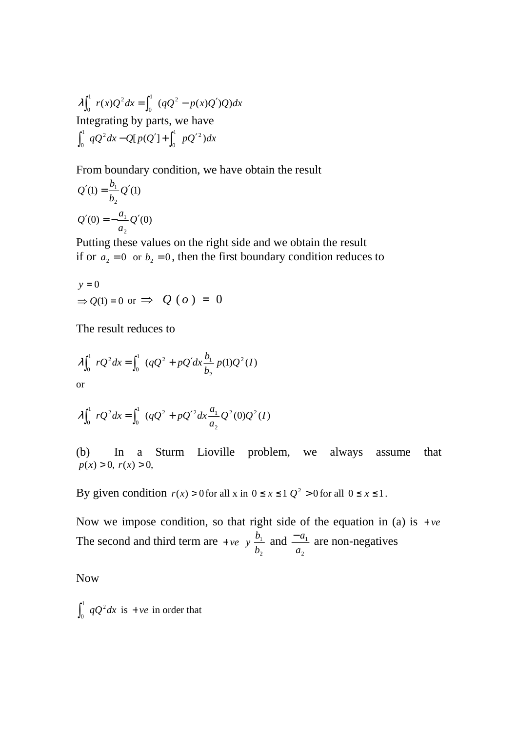$r(x)Q^2 dx = \int_0^1 (qQ^2 - p(x)Q')Q)dx$ 0 <sup>1</sup>  $v(x) \Omega^2$  $\lambda \int_0^1 r(x)Q^2 dx = \int_0^1 (qQ^2 - p(x)Q')$ Integrating by parts, we have  $qQ^2 dx - Q[p(Q'] + \int_a^1 pQ'^2) dx$ 0 <sup>1</sup>  $\alpha$ <sup>2</sup>  $\int_0^1 qQ^2 dx - Q[p(Q'] + \int_0^1 pQ'$ 

From boundary condition, we have obtain the result

$$
Q'(1) = \frac{b_1}{b_2} Q'(1)
$$
  

$$
Q'(0) = -\frac{a_1}{a_2} Q'(0)
$$

Putting these values on the right side and we obtain the result if or  $a_2 = 0$  or  $b_2 = 0$ , then the first boundary condition reduces to

$$
y = 0
$$
  
\n $\Rightarrow Q(1) = 0 \text{ or } \Rightarrow Q(o) = 0$ 

The result reduces to

$$
\lambda \int_0^1 rQ^2 dx = \int_0^1 (qQ^2 + pQ'dx \frac{b_1}{b_2} p(1)Q^2(I))
$$
  
or

$$
\lambda \int_0^1 rQ^2 dx = \int_0^1 (qQ^2 + pQ'^2 dx \frac{a_1}{a_2} Q^2(0) Q^2(I)
$$

(b) In a Sturm Lioville problem, we always assume that  $p(x) > 0, r(x) > 0,$ 

By given condition  $r(x) > 0$  for all x in  $0 \le x \le 1$   $Q^2 > 0$  for all  $0 \le x \le 1$ .

Now we impose condition, so that right side of the equation in (a) is  $+ve$ The second and third term are  $+ve$  *y* 2 1 *b*  $\frac{b_1}{a_1}$  and 2 1 *a*  $\frac{-a_1}{a_2}$  are non-negatives

Now

 $\int_0^1 qQ^2 dx$  is + *ve* in order that